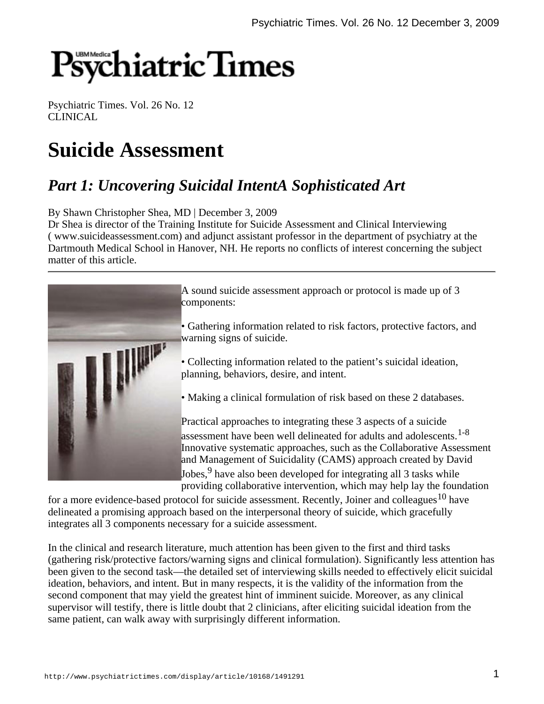# Psychiatric Times

Psychiatric Times. Vol. 26 No. 12 CLINICAL

## **Suicide Assessment**

### *Part 1: Uncovering Suicidal IntentA Sophisticated Art*

By Shawn Christopher Shea, MD | December 3, 2009

Dr Shea is director of the Training Institute for Suicide Assessment and Clinical Interviewing ( www.suicideassessment.com) and adjunct assistant professor in the department of psychiatry at the Dartmouth Medical School in Hanover, NH. He reports no conflicts of interest concerning the subject matter of this article.



A sound suicide assessment approach or protocol is made up of 3

• Gathering information related to risk factors, protective factors, and warning signs of suicide.

• Collecting information related to the patient's suicidal ideation, planning, behaviors, desire, and intent.

• Making a clinical formulation of risk based on these 2 databases.

Practical approaches to integrating these 3 aspects of a suicide assessment have been well delineated for adults and adolescents.  $1-8$ Innovative systematic approaches, such as the Collaborative Assessment and Management of Suicidality (CAMS) approach created by David Jobes,  $9^9$  have also been developed for integrating all 3 tasks while providing collaborative intervention, which may help lay the foundation

for a more evidence-based protocol for suicide assessment. Recently, Joiner and colleagues  $10$  have delineated a promising approach based on the interpersonal theory of suicide, which gracefully integrates all 3 components necessary for a suicide assessment.

In the clinical and research literature, much attention has been given to the first and third tasks (gathering risk/protective factors/warning signs and clinical formulation). Significantly less attention has been given to the second task—the detailed set of interviewing skills needed to effectively elicit suicidal ideation, behaviors, and intent. But in many respects, it is the validity of the information from the second component that may yield the greatest hint of imminent suicide. Moreover, as any clinical supervisor will testify, there is little doubt that 2 clinicians, after eliciting suicidal ideation from the same patient, can walk away with surprisingly different information.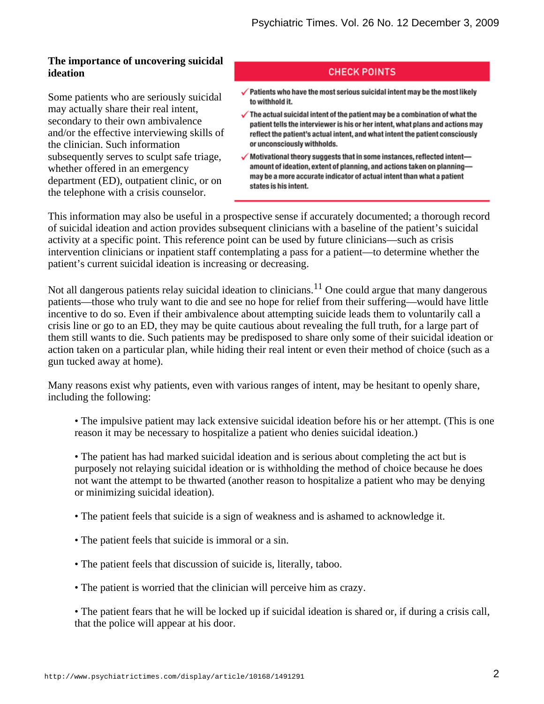#### **The importance of uncovering suicidal ideation**

Some patients who are seriously suicidal may actually share their real intent, secondary to their own ambivalence and/or the effective interviewing skills of the clinician. Such information subsequently serves to sculpt safe triage, whether offered in an emergency department (ED), outpatient clinic, or on the telephone with a crisis counselor.

#### **CHECK POINTS**

- $\checkmark$  Patients who have the most serious suicidal intent may be the most likely to withhold it.
- $\checkmark$  The actual suicidal intent of the patient may be a combination of what the patient tells the interviewer is his or her intent, what plans and actions may reflect the patient's actual intent, and what intent the patient consciously or unconsciously withholds.
- $\checkmark$  Motivational theory suggests that in some instances, reflected intentamount of ideation, extent of planning, and actions taken on planningmay be a more accurate indicator of actual intent than what a patient states is his intent.

This information may also be useful in a prospective sense if accurately documented; a thorough record of suicidal ideation and action provides subsequent clinicians with a baseline of the patient's suicidal activity at a specific point. This reference point can be used by future clinicians—such as crisis intervention clinicians or inpatient staff contemplating a pass for a patient—to determine whether the patient's current suicidal ideation is increasing or decreasing.

Not all dangerous patients relay suicidal ideation to clinicians.<sup>11</sup> One could argue that many dangerous patients—those who truly want to die and see no hope for relief from their suffering—would have little incentive to do so. Even if their ambivalence about attempting suicide leads them to voluntarily call a crisis line or go to an ED, they may be quite cautious about revealing the full truth, for a large part of them still wants to die. Such patients may be predisposed to share only some of their suicidal ideation or action taken on a particular plan, while hiding their real intent or even their method of choice (such as a gun tucked away at home).

Many reasons exist why patients, even with various ranges of intent, may be hesitant to openly share, including the following:

• The impulsive patient may lack extensive suicidal ideation before his or her attempt. (This is one reason it may be necessary to hospitalize a patient who denies suicidal ideation.)

• The patient has had marked suicidal ideation and is serious about completing the act but is purposely not relaying suicidal ideation or is withholding the method of choice because he does not want the attempt to be thwarted (another reason to hospitalize a patient who may be denying or minimizing suicidal ideation).

- The patient feels that suicide is a sign of weakness and is ashamed to acknowledge it.
- The patient feels that suicide is immoral or a sin.
- The patient feels that discussion of suicide is, literally, taboo.
- The patient is worried that the clinician will perceive him as crazy.

• The patient fears that he will be locked up if suicidal ideation is shared or, if during a crisis call, that the police will appear at his door.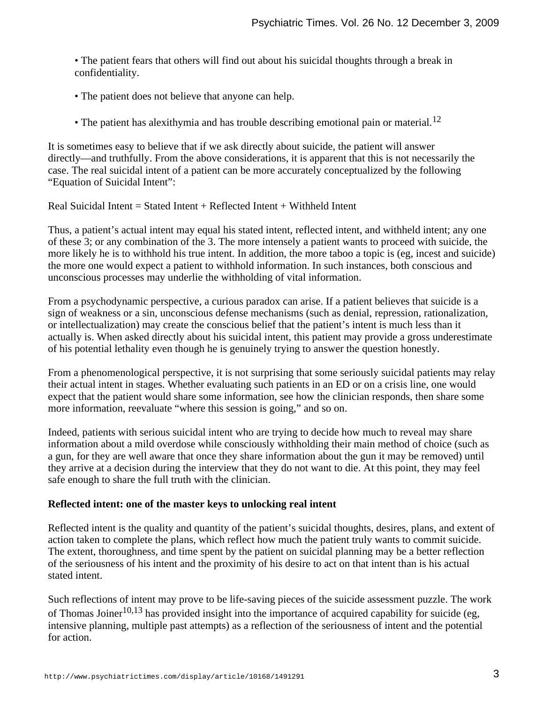• The patient fears that others will find out about his suicidal thoughts through a break in confidentiality.

- The patient does not believe that anyone can help.
- The patient has alexithymia and has trouble describing emotional pain or material.<sup>12</sup>

It is sometimes easy to believe that if we ask directly about suicide, the patient will answer directly—and truthfully. From the above considerations, it is apparent that this is not necessarily the case. The real suicidal intent of a patient can be more accurately conceptualized by the following "Equation of Suicidal Intent":

Real Suicidal Intent = Stated Intent + Reflected Intent + Withheld Intent

Thus, a patient's actual intent may equal his stated intent, reflected intent, and withheld intent; any one of these 3; or any combination of the 3. The more intensely a patient wants to proceed with suicide, the more likely he is to withhold his true intent. In addition, the more taboo a topic is (eg, incest and suicide) the more one would expect a patient to withhold information. In such instances, both conscious and unconscious processes may underlie the withholding of vital information.

From a psychodynamic perspective, a curious paradox can arise. If a patient believes that suicide is a sign of weakness or a sin, unconscious defense mechanisms (such as denial, repression, rationalization, or intellectualization) may create the conscious belief that the patient's intent is much less than it actually is. When asked directly about his suicidal intent, this patient may provide a gross underestimate of his potential lethality even though he is genuinely trying to answer the question honestly.

From a phenomenological perspective, it is not surprising that some seriously suicidal patients may relay their actual intent in stages. Whether evaluating such patients in an ED or on a crisis line, one would expect that the patient would share some information, see how the clinician responds, then share some more information, reevaluate "where this session is going," and so on.

Indeed, patients with serious suicidal intent who are trying to decide how much to reveal may share information about a mild overdose while consciously withholding their main method of choice (such as a gun, for they are well aware that once they share information about the gun it may be removed) until they arrive at a decision during the interview that they do not want to die. At this point, they may feel safe enough to share the full truth with the clinician.

#### **Reflected intent: one of the master keys to unlocking real intent**

Reflected intent is the quality and quantity of the patient's suicidal thoughts, desires, plans, and extent of action taken to complete the plans, which reflect how much the patient truly wants to commit suicide. The extent, thoroughness, and time spent by the patient on suicidal planning may be a better reflection of the seriousness of his intent and the proximity of his desire to act on that intent than is his actual stated intent.

Such reflections of intent may prove to be life-saving pieces of the suicide assessment puzzle. The work of Thomas Joiner<sup>10,13</sup> has provided insight into the importance of acquired capability for suicide (eg, intensive planning, multiple past attempts) as a reflection of the seriousness of intent and the potential for action.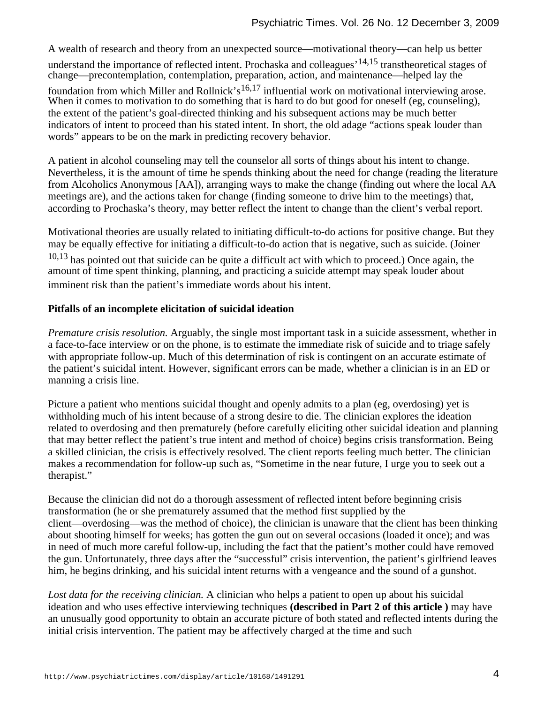A wealth of research and theory from an unexpected source—motivational theory—can help us better

understand the importance of reflected intent. Prochaska and colleagues<sup> $14,15$ </sup> transtheoretical stages of change—precontemplation, contemplation, preparation, action, and maintenance—helped lay the

foundation from which Miller and Rollnick's<sup>16,17</sup> influential work on motivational interviewing arose. When it comes to motivation to do something that is hard to do but good for oneself (eg, counseling), the extent of the patient's goal-directed thinking and his subsequent actions may be much better indicators of intent to proceed than his stated intent. In short, the old adage "actions speak louder than words" appears to be on the mark in predicting recovery behavior.

A patient in alcohol counseling may tell the counselor all sorts of things about his intent to change. Nevertheless, it is the amount of time he spends thinking about the need for change (reading the literature from Alcoholics Anonymous [AA]), arranging ways to make the change (finding out where the local AA meetings are), and the actions taken for change (finding someone to drive him to the meetings) that, according to Prochaska's theory, may better reflect the intent to change than the client's verbal report.

Motivational theories are usually related to initiating difficult-to-do actions for positive change. But they may be equally effective for initiating a difficult-to-do action that is negative, such as suicide. (Joiner

10,13 has pointed out that suicide can be quite a difficult act with which to proceed.) Once again, the amount of time spent thinking, planning, and practicing a suicide attempt may speak louder about imminent risk than the patient's immediate words about his intent.

#### **Pitfalls of an incomplete elicitation of suicidal ideation**

*Premature crisis resolution.* Arguably, the single most important task in a suicide assessment, whether in a face-to-face interview or on the phone, is to estimate the immediate risk of suicide and to triage safely with appropriate follow-up. Much of this determination of risk is contingent on an accurate estimate of the patient's suicidal intent. However, significant errors can be made, whether a clinician is in an ED or manning a crisis line.

Picture a patient who mentions suicidal thought and openly admits to a plan (eg, overdosing) yet is withholding much of his intent because of a strong desire to die. The clinician explores the ideation related to overdosing and then prematurely (before carefully eliciting other suicidal ideation and planning that may better reflect the patient's true intent and method of choice) begins crisis transformation. Being a skilled clinician, the crisis is effectively resolved. The client reports feeling much better. The clinician makes a recommendation for follow-up such as, "Sometime in the near future, I urge you to seek out a therapist."

Because the clinician did not do a thorough assessment of reflected intent before beginning crisis transformation (he or she prematurely assumed that the method first supplied by the client—overdosing—was the method of choice), the clinician is unaware that the client has been thinking about shooting himself for weeks; has gotten the gun out on several occasions (loaded it once); and was in need of much more careful follow-up, including the fact that the patient's mother could have removed the gun. Unfortunately, three days after the "successful" crisis intervention, the patient's girlfriend leaves him, he begins drinking, and his suicidal intent returns with a vengeance and the sound of a gunshot.

*Lost data for the receiving clinician.* A clinician who helps a patient to open up about his suicidal ideation and who uses effective interviewing techniques **(described in Part 2 of this article )** may have an unusually good opportunity to obtain an accurate picture of both stated and reflected intents during the initial crisis intervention. The patient may be affectively charged at the time and such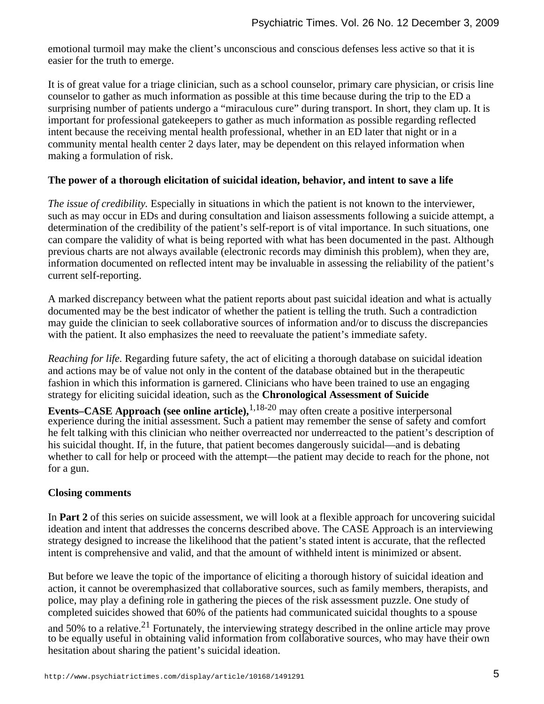emotional turmoil may make the client's unconscious and conscious defenses less active so that it is easier for the truth to emerge.

It is of great value for a triage clinician, such as a school counselor, primary care physician, or crisis line counselor to gather as much information as possible at this time because during the trip to the ED a surprising number of patients undergo a "miraculous cure" during transport. In short, they clam up. It is important for professional gatekeepers to gather as much information as possible regarding reflected intent because the receiving mental health professional, whether in an ED later that night or in a community mental health center 2 days later, may be dependent on this relayed information when making a formulation of risk.

#### **The power of a thorough elicitation of suicidal ideation, behavior, and intent to save a life**

*The issue of credibility.* Especially in situations in which the patient is not known to the interviewer, such as may occur in EDs and during consultation and liaison assessments following a suicide attempt, a determination of the credibility of the patient's self-report is of vital importance. In such situations, one can compare the validity of what is being reported with what has been documented in the past. Although previous charts are not always available (electronic records may diminish this problem), when they are, information documented on reflected intent may be invaluable in assessing the reliability of the patient's current self-reporting.

A marked discrepancy between what the patient reports about past suicidal ideation and what is actually documented may be the best indicator of whether the patient is telling the truth. Such a contradiction may guide the clinician to seek collaborative sources of information and/or to discuss the discrepancies with the patient. It also emphasizes the need to reevaluate the patient's immediate safety.

*Reaching for life.* Regarding future safety, the act of eliciting a thorough database on suicidal ideation and actions may be of value not only in the content of the database obtained but in the therapeutic fashion in which this information is garnered. Clinicians who have been trained to use an engaging strategy for eliciting suicidal ideation, such as the **Chronological Assessment of Suicide**

**Events–CASE Approach (see online article),**<sup>1,18-20</sup> may often create a positive interpersonal experience during the initial assessment. Such a patient may remember the sense of safety and comfort he felt talking with this clinician who neither overreacted nor underreacted to the patient's description of his suicidal thought. If, in the future, that patient becomes dangerously suicidal—and is debating whether to call for help or proceed with the attempt—the patient may decide to reach for the phone, not for a gun.

#### **Closing comments**

In **Part 2** of this series on suicide assessment, we will look at a flexible approach for uncovering suicidal ideation and intent that addresses the concerns described above. The CASE Approach is an interviewing strategy designed to increase the likelihood that the patient's stated intent is accurate, that the reflected intent is comprehensive and valid, and that the amount of withheld intent is minimized or absent.

But before we leave the topic of the importance of eliciting a thorough history of suicidal ideation and action, it cannot be overemphasized that collaborative sources, such as family members, therapists, and police, may play a defining role in gathering the pieces of the risk assessment puzzle. One study of completed suicides showed that 60% of the patients had communicated suicidal thoughts to a spouse and 50% to a relative.<sup>21</sup> Fortunately, the interviewing strategy described in the online article may prove

to be equally useful in obtaining valid information from collaborative sources, who may have their own hesitation about sharing the patient's suicidal ideation.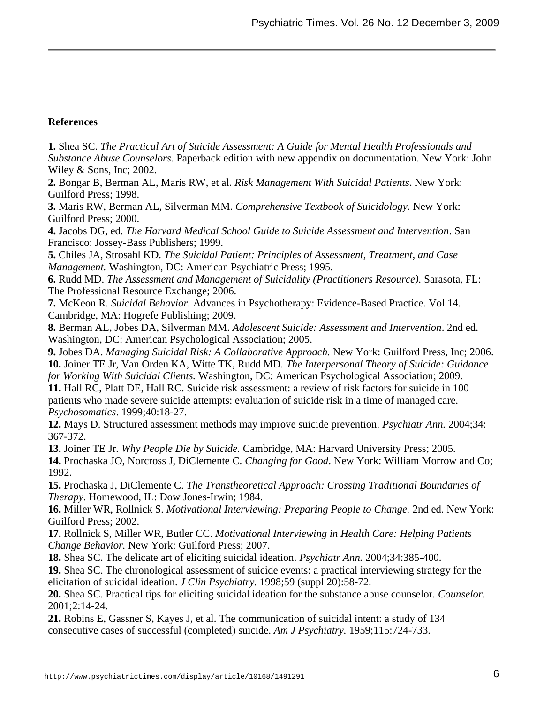#### **References**

**1.** Shea SC. *The Practical Art of Suicide Assessment: A Guide for Mental Health Professionals and Substance Abuse Counselors.* Paperback edition with new appendix on documentation. New York: John Wiley & Sons, Inc; 2002.

**2.** Bongar B, Berman AL, Maris RW, et al. *Risk Management With Suicidal Patients*. New York: Guilford Press; 1998.

**3.** Maris RW, Berman AL, Silverman MM. *Comprehensive Textbook of Suicidology.* New York: Guilford Press; 2000.

**4.** Jacobs DG, ed. *The Harvard Medical School Guide to Suicide Assessment and Intervention*. San Francisco: Jossey-Bass Publishers; 1999.

**5.** Chiles JA, Strosahl KD. *The Suicidal Patient: Principles of Assessment, Treatment, and Case Management.* Washington, DC: American Psychiatric Press; 1995.

**6.** Rudd MD. *The Assessment and Management of Suicidality (Practitioners Resource).* Sarasota, FL: The Professional Resource Exchange; 2006.

**7.** McKeon R. *Suicidal Behavior.* Advances in Psychotherapy: Evidence-Based Practice Vol 14. *.* Cambridge, MA: Hogrefe Publishing; 2009.

**8.** Berman AL, Jobes DA, Silverman MM. *Adolescent Suicide: Assessment and Intervention*. 2nd ed. Washington, DC: American Psychological Association; 2005.

**9.** Jobes DA. *Managing Suicidal Risk: A Collaborative Approach.* New York: Guilford Press, Inc; 2006. **10.** Joiner TE Jr, Van Orden KA, Witte TK, Rudd MD. *The Interpersonal Theory of Suicide: Guidance for Working With Suicidal Clients.* Washington, DC: American Psychological Association; 2009.

**11.** Hall RC, Platt DE, Hall RC. Suicide risk assessment: a review of risk factors for suicide in 100 patients who made severe suicide attempts: evaluation of suicide risk in a time of managed care. *Psychosomatics*. 1999;40:18-27.

**12.** Mays D. Structured assessment methods may improve suicide prevention. *Psychiatr Ann.* 2004;34: 367-372.

**13.** Joiner TE Jr. *Why People Die by Suicide.* Cambridge, MA: Harvard University Press; 2005.

**14.** Prochaska JO, Norcross J, DiClemente C. *Changing for Good*. New York: William Morrow and Co; 1992.

**15.** Prochaska J, DiClemente C. *The Transtheoretical Approach: Crossing Traditional Boundaries of Therapy.* Homewood, IL: Dow Jones-Irwin; 1984.

**16.** Miller WR, Rollnick S. *Motivational Interviewing: Preparing People to Change.* 2nd ed. New York: Guilford Press; 2002.

**17.** Rollnick S, Miller WR, Butler CC. *Motivational Interviewing in Health Care: Helping Patients Change Behavior.* New York: Guilford Press; 2007.

**18.** Shea SC. The delicate art of eliciting suicidal ideation. *Psychiatr Ann.* 2004;34:385-400.

**19.** Shea SC. The chronological assessment of suicide events: a practical interviewing strategy for the elicitation of suicidal ideation. *J Clin Psychiatry.* 1998;59 (suppl 20):58-72.

**20.** Shea SC. Practical tips for eliciting suicidal ideation for the substance abuse counselor. *Counselor.* 2001;2:14-24.

**21.** Robins E, Gassner S, Kayes J, et al. The communication of suicidal intent: a study of 134 consecutive cases of successful (completed) suicide. *Am J Psychiatry.* 1959;115:724-733.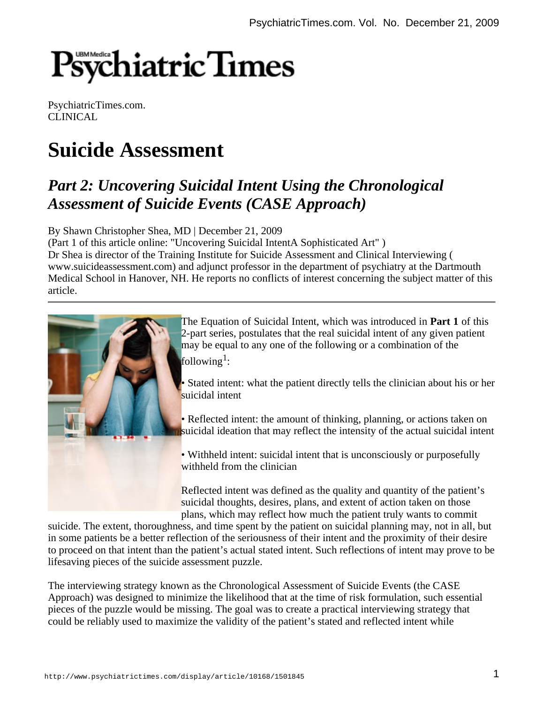# Psychiatric Times

PsychiatricTimes.com. CLINICAL

## **Suicide Assessment**

### *Part 2: Uncovering Suicidal Intent Using the Chronological Assessment of Suicide Events (CASE Approach)*

By Shawn Christopher Shea, MD | December 21, 2009

(Part 1 of this article online: "Uncovering Suicidal IntentA Sophisticated Art" ) Dr Shea is director of the Training Institute for Suicide Assessment and Clinical Interviewing ( www.suicideassessment.com) and adjunct professor in the department of psychiatry at the Dartmouth Medical School in Hanover, NH. He reports no conflicts of interest concerning the subject matter of this article.



suicide. The extent, thoroughness, and time spent by the patient on suicidal planning may, not in all, but in some patients be a better reflection of the seriousness of their intent and the proximity of their desire to proceed on that intent than the patient's actual stated intent. Such reflections of intent may prove to be lifesaving pieces of the suicide assessment puzzle.

The interviewing strategy known as the Chronological Assessment of Suicide Events (the CASE Approach) was designed to minimize the likelihood that at the time of risk formulation, such essential pieces of the puzzle would be missing. The goal was to create a practical interviewing strategy that could be reliably used to maximize the validity of the patient's stated and reflected intent while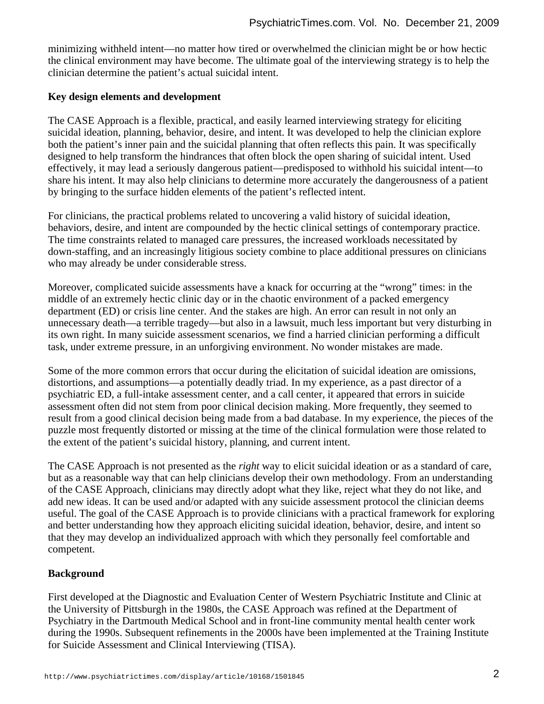minimizing withheld intent—no matter how tired or overwhelmed the clinician might be or how hectic the clinical environment may have become. The ultimate goal of the interviewing strategy is to help the clinician determine the patient's actual suicidal intent.

#### **Key design elements and development**

The CASE Approach is a flexible, practical, and easily learned interviewing strategy for eliciting suicidal ideation, planning, behavior, desire, and intent. It was developed to help the clinician explore both the patient's inner pain and the suicidal planning that often reflects this pain. It was specifically designed to help transform the hindrances that often block the open sharing of suicidal intent. Used effectively, it may lead a seriously dangerous patient—predisposed to withhold his suicidal intent—to share his intent. It may also help clinicians to determine more accurately the dangerousness of a patient by bringing to the surface hidden elements of the patient's reflected intent.

For clinicians, the practical problems related to uncovering a valid history of suicidal ideation, behaviors, desire, and intent are compounded by the hectic clinical settings of contemporary practice. The time constraints related to managed care pressures, the increased workloads necessitated by down-staffing, and an increasingly litigious society combine to place additional pressures on clinicians who may already be under considerable stress.

Moreover, complicated suicide assessments have a knack for occurring at the "wrong" times: in the middle of an extremely hectic clinic day or in the chaotic environment of a packed emergency department (ED) or crisis line center. And the stakes are high. An error can result in not only an unnecessary death—a terrible tragedy—but also in a lawsuit, much less important but very disturbing in its own right. In many suicide assessment scenarios, we find a harried clinician performing a difficult task, under extreme pressure, in an unforgiving environment. No wonder mistakes are made.

Some of the more common errors that occur during the elicitation of suicidal ideation are omissions, distortions, and assumptions—a potentially deadly triad. In my experience, as a past director of a psychiatric ED, a full-intake assessment center, and a call center, it appeared that errors in suicide assessment often did not stem from poor clinical decision making. More frequently, they seemed to result from a good clinical decision being made from a bad database. In my experience, the pieces of the puzzle most frequently distorted or missing at the time of the clinical formulation were those related to the extent of the patient's suicidal history, planning, and current intent.

The CASE Approach is not presented as the *right* way to elicit suicidal ideation or as a standard of care, but as a reasonable way that can help clinicians develop their own methodology. From an understanding of the CASE Approach, clinicians may directly adopt what they like, reject what they do not like, and add new ideas. It can be used and/or adapted with any suicide assessment protocol the clinician deems useful. The goal of the CASE Approach is to provide clinicians with a practical framework for exploring and better understanding how they approach eliciting suicidal ideation, behavior, desire, and intent so that they may develop an individualized approach with which they personally feel comfortable and competent.

#### **Background**

First developed at the Diagnostic and Evaluation Center of Western Psychiatric Institute and Clinic at the University of Pittsburgh in the 1980s, the CASE Approach was refined at the Department of Psychiatry in the Dartmouth Medical School and in front-line community mental health center work during the 1990s. Subsequent refinements in the 2000s have been implemented at the Training Institute for Suicide Assessment and Clinical Interviewing (TISA).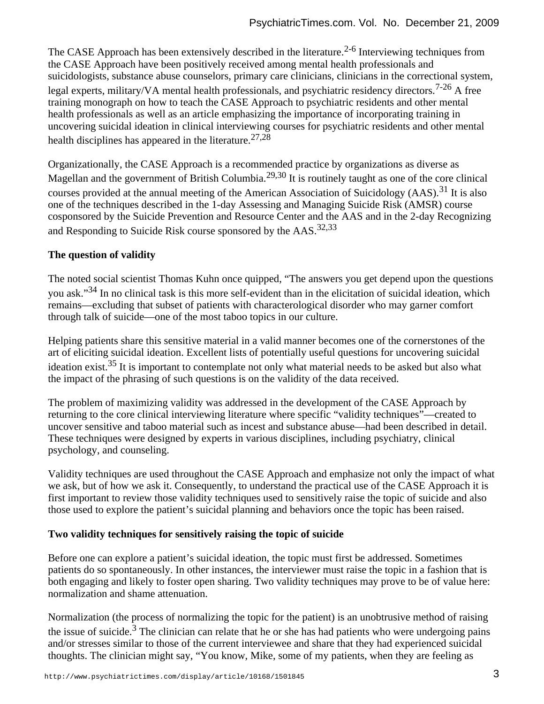The CASE Approach has been extensively described in the literature.<sup>2-6</sup> Interviewing techniques from the CASE Approach have been positively received among mental health professionals and suicidologists, substance abuse counselors, primary care clinicians, clinicians in the correctional system, legal experts, military/VA mental health professionals, and psychiatric residency directors.<sup>7-26</sup> A free training monograph on how to teach the CASE Approach to psychiatric residents and other mental health professionals as well as an article emphasizing the importance of incorporating training in uncovering suicidal ideation in clinical interviewing courses for psychiatric residents and other mental health disciplines has appeared in the literature. $27,28$ 

Organizationally, the CASE Approach is a recommended practice by organizations as diverse as Magellan and the government of British Columbia.<sup>29,30</sup> It is routinely taught as one of the core clinical courses provided at the annual meeting of the American Association of Suicidology (AAS).<sup>31</sup> It is also one of the techniques described in the 1-day Assessing and Managing Suicide Risk (AMSR) course cosponsored by the Suicide Prevention and Resource Center and the AAS and in the 2-day Recognizing and Responding to Suicide Risk course sponsored by the AAS.32,33

#### **The question of validity**

The noted social scientist Thomas Kuhn once quipped, "The answers you get depend upon the questions you ask."<sup>34</sup> In no clinical task is this more self-evident than in the elicitation of suicidal ideation, which remains—excluding that subset of patients with characterological disorder who may garner comfort through talk of suicide—one of the most taboo topics in our culture.

Helping patients share this sensitive material in a valid manner becomes one of the cornerstones of the art of eliciting suicidal ideation. Excellent lists of potentially useful questions for uncovering suicidal ideation exist.<sup>35</sup> It is important to contemplate not only what material needs to be asked but also what the impact of the phrasing of such questions is on the validity of the data received.

The problem of maximizing validity was addressed in the development of the CASE Approach by returning to the core clinical interviewing literature where specific "validity techniques"—created to uncover sensitive and taboo material such as incest and substance abuse—had been described in detail. These techniques were designed by experts in various disciplines, including psychiatry, clinical psychology, and counseling.

Validity techniques are used throughout the CASE Approach and emphasize not only the impact of what we ask, but of how we ask it. Consequently, to understand the practical use of the CASE Approach it is first important to review those validity techniques used to sensitively raise the topic of suicide and also those used to explore the patient's suicidal planning and behaviors once the topic has been raised.

#### **Two validity techniques for sensitively raising the topic of suicide**

Before one can explore a patient's suicidal ideation, the topic must first be addressed. Sometimes patients do so spontaneously. In other instances, the interviewer must raise the topic in a fashion that is both engaging and likely to foster open sharing. Two validity techniques may prove to be of value here: normalization and shame attenuation.

Normalization (the process of normalizing the topic for the patient) is an unobtrusive method of raising the issue of suicide.<sup>3</sup> The clinician can relate that he or she has had patients who were undergoing pains and/or stresses similar to those of the current interviewee and share that they had experienced suicidal thoughts. The clinician might say, "You know, Mike, some of my patients, when they are feeling as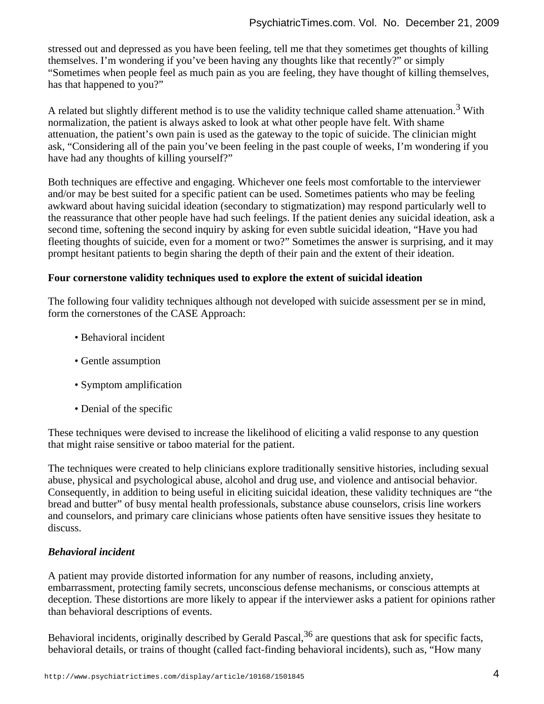stressed out and depressed as you have been feeling, tell me that they sometimes get thoughts of killing themselves. I'm wondering if you've been having any thoughts like that recently?" or simply "Sometimes when people feel as much pain as you are feeling, they have thought of killing themselves, has that happened to you?"

A related but slightly different method is to use the validity technique called shame attenuation.<sup>3</sup> With normalization, the patient is always asked to look at what other people have felt. With shame attenuation, the patient's own pain is used as the gateway to the topic of suicide. The clinician might ask, "Considering all of the pain you've been feeling in the past couple of weeks, I'm wondering if you have had any thoughts of killing yourself?"

Both techniques are effective and engaging. Whichever one feels most comfortable to the interviewer and/or may be best suited for a specific patient can be used. Sometimes patients who may be feeling awkward about having suicidal ideation (secondary to stigmatization) may respond particularly well to the reassurance that other people have had such feelings. If the patient denies any suicidal ideation, ask a second time, softening the second inquiry by asking for even subtle suicidal ideation, "Have you had fleeting thoughts of suicide, even for a moment or two?" Sometimes the answer is surprising, and it may prompt hesitant patients to begin sharing the depth of their pain and the extent of their ideation.

#### **Four cornerstone validity techniques used to explore the extent of suicidal ideation**

The following four validity techniques although not developed with suicide assessment per se in mind, form the cornerstones of the CASE Approach:

- Behavioral incident
- Gentle assumption
- Symptom amplification
- Denial of the specific

These techniques were devised to increase the likelihood of eliciting a valid response to any question that might raise sensitive or taboo material for the patient.

The techniques were created to help clinicians explore traditionally sensitive histories, including sexual abuse, physical and psychological abuse, alcohol and drug use, and violence and antisocial behavior. Consequently, in addition to being useful in eliciting suicidal ideation, these validity techniques are "the bread and butter" of busy mental health professionals, substance abuse counselors, crisis line workers and counselors, and primary care clinicians whose patients often have sensitive issues they hesitate to discuss.

#### *Behavioral incident*

A patient may provide distorted information for any number of reasons, including anxiety, embarrassment, protecting family secrets, unconscious defense mechanisms, or conscious attempts at deception. These distortions are more likely to appear if the interviewer asks a patient for opinions rather than behavioral descriptions of events.

Behavioral incidents, originally described by Gerald Pascal,  $36$  are questions that ask for specific facts, behavioral details, or trains of thought (called fact-finding behavioral incidents), such as, "How many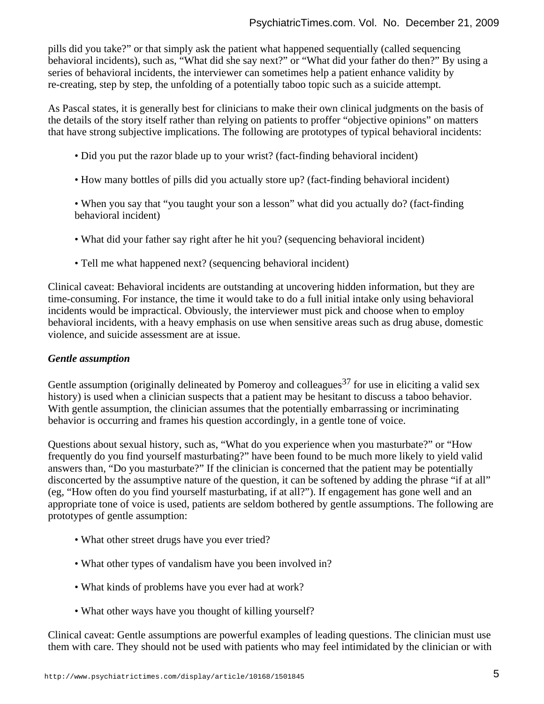pills did you take?" or that simply ask the patient what happened sequentially (called sequencing behavioral incidents), such as, "What did she say next?" or "What did your father do then?" By using a series of behavioral incidents, the interviewer can sometimes help a patient enhance validity by re-creating, step by step, the unfolding of a potentially taboo topic such as a suicide attempt.

As Pascal states, it is generally best for clinicians to make their own clinical judgments on the basis of the details of the story itself rather than relying on patients to proffer "objective opinions" on matters that have strong subjective implications. The following are prototypes of typical behavioral incidents:

- Did you put the razor blade up to your wrist? (fact-finding behavioral incident)
- How many bottles of pills did you actually store up? (fact-finding behavioral incident)
- When you say that "you taught your son a lesson" what did you actually do? (fact-finding behavioral incident)
- What did your father say right after he hit you? (sequencing behavioral incident)
- Tell me what happened next? (sequencing behavioral incident)

Clinical caveat: Behavioral incidents are outstanding at uncovering hidden information, but they are time-consuming. For instance, the time it would take to do a full initial intake only using behavioral incidents would be impractical. Obviously, the interviewer must pick and choose when to employ behavioral incidents, with a heavy emphasis on use when sensitive areas such as drug abuse, domestic violence, and suicide assessment are at issue.

#### *Gentle assumption*

Gentle assumption (originally delineated by Pomeroy and colleagues<sup>37</sup> for use in eliciting a valid sex history) is used when a clinician suspects that a patient may be hesitant to discuss a taboo behavior. With gentle assumption, the clinician assumes that the potentially embarrassing or incriminating behavior is occurring and frames his question accordingly, in a gentle tone of voice.

Questions about sexual history, such as, "What do you experience when you masturbate?" or "How frequently do you find yourself masturbating?" have been found to be much more likely to yield valid answers than, "Do you masturbate?" If the clinician is concerned that the patient may be potentially disconcerted by the assumptive nature of the question, it can be softened by adding the phrase "if at all" (eg, "How often do you find yourself masturbating, if at all?"). If engagement has gone well and an appropriate tone of voice is used, patients are seldom bothered by gentle assumptions. The following are prototypes of gentle assumption:

- What other street drugs have you ever tried?
- What other types of vandalism have you been involved in?
- What kinds of problems have you ever had at work?
- What other ways have you thought of killing yourself?

Clinical caveat: Gentle assumptions are powerful examples of leading questions. The clinician must use them with care. They should not be used with patients who may feel intimidated by the clinician or with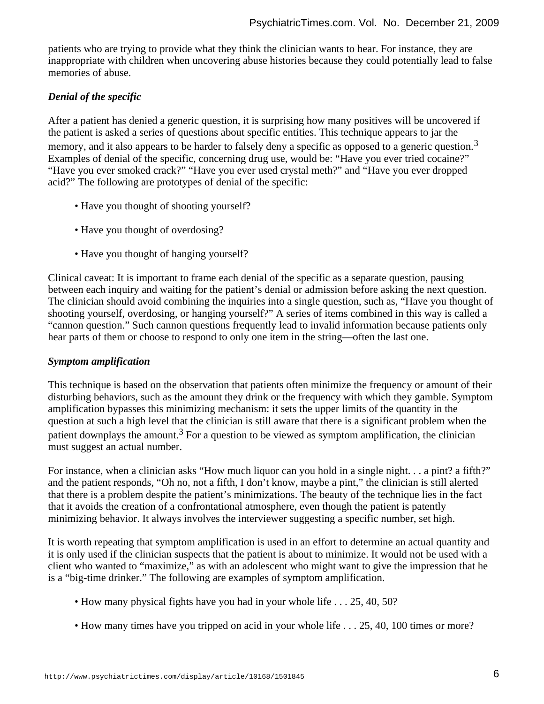patients who are trying to provide what they think the clinician wants to hear. For instance, they are inappropriate with children when uncovering abuse histories because they could potentially lead to false memories of abuse.

#### *Denial of the specific*

After a patient has denied a generic question, it is surprising how many positives will be uncovered if the patient is asked a series of questions about specific entities. This technique appears to jar the memory, and it also appears to be harder to falsely deny a specific as opposed to a generic question.<sup>3</sup> Examples of denial of the specific, concerning drug use, would be: "Have you ever tried cocaine?" "Have you ever smoked crack?" "Have you ever used crystal meth?" and "Have you ever dropped acid?" The following are prototypes of denial of the specific:

- Have you thought of shooting yourself?
- Have you thought of overdosing?
- Have you thought of hanging yourself?

Clinical caveat: It is important to frame each denial of the specific as a separate question, pausing between each inquiry and waiting for the patient's denial or admission before asking the next question. The clinician should avoid combining the inquiries into a single question, such as, "Have you thought of shooting yourself, overdosing, or hanging yourself?" A series of items combined in this way is called a "cannon question." Such cannon questions frequently lead to invalid information because patients only hear parts of them or choose to respond to only one item in the string—often the last one.

#### *Symptom amplification*

This technique is based on the observation that patients often minimize the frequency or amount of their disturbing behaviors, such as the amount they drink or the frequency with which they gamble. Symptom amplification bypasses this minimizing mechanism: it sets the upper limits of the quantity in the question at such a high level that the clinician is still aware that there is a significant problem when the patient downplays the amount.<sup>3</sup> For a question to be viewed as symptom amplification, the clinician must suggest an actual number.

For instance, when a clinician asks "How much liquor can you hold in a single night. . . a pint? a fifth?" and the patient responds, "Oh no, not a fifth, I don't know, maybe a pint," the clinician is still alerted that there is a problem despite the patient's minimizations. The beauty of the technique lies in the fact that it avoids the creation of a confrontational atmosphere, even though the patient is patently minimizing behavior. It always involves the interviewer suggesting a specific number, set high.

It is worth repeating that symptom amplification is used in an effort to determine an actual quantity and it is only used if the clinician suspects that the patient is about to minimize. It would not be used with a client who wanted to "maximize," as with an adolescent who might want to give the impression that he is a "big-time drinker." The following are examples of symptom amplification.

- How many physical fights have you had in your whole life . . . 25, 40, 50?
- How many times have you tripped on acid in your whole life . . . 25, 40, 100 times or more?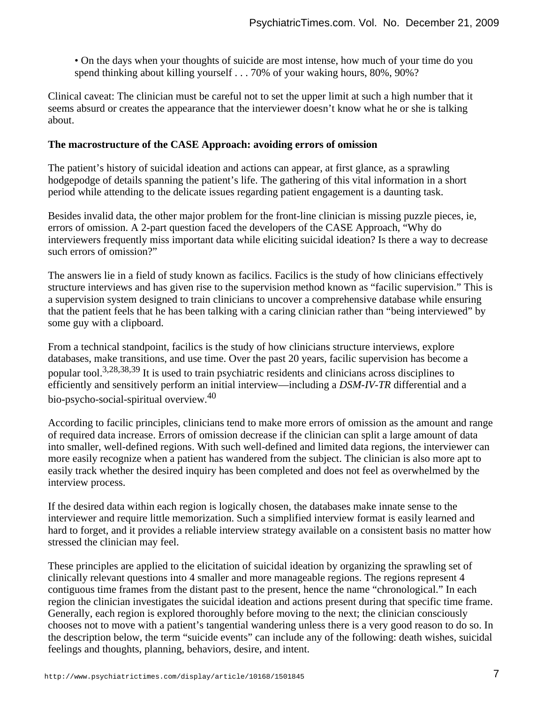• On the days when your thoughts of suicide are most intense, how much of your time do you spend thinking about killing yourself . . . 70% of your waking hours, 80%, 90%?

Clinical caveat: The clinician must be careful not to set the upper limit at such a high number that it seems absurd or creates the appearance that the interviewer doesn't know what he or she is talking about.

#### **The macrostructure of the CASE Approach: avoiding errors of omission**

The patient's history of suicidal ideation and actions can appear, at first glance, as a sprawling hodgepodge of details spanning the patient's life. The gathering of this vital information in a short period while attending to the delicate issues regarding patient engagement is a daunting task.

Besides invalid data, the other major problem for the front-line clinician is missing puzzle pieces, ie, errors of omission. A 2-part question faced the developers of the CASE Approach, "Why do interviewers frequently miss important data while eliciting suicidal ideation? Is there a way to decrease such errors of omission?"

The answers lie in a field of study known as facilics. Facilics is the study of how clinicians effectively structure interviews and has given rise to the supervision method known as "facilic supervision." This is a supervision system designed to train clinicians to uncover a comprehensive database while ensuring that the patient feels that he has been talking with a caring clinician rather than "being interviewed" by some guy with a clipboard.

From a technical standpoint, facilics is the study of how clinicians structure interviews, explore databases, make transitions, and use time. Over the past 20 years, facilic supervision has become a popular tool.<sup>3,28,38,39</sup> It is used to train psychiatric residents and clinicians across disciplines to efficiently and sensitively perform an initial interview—including a DSM-IV-TR differential and a bio-psycho-social-spiritual overview.<sup>40</sup>

According to facilic principles, clinicians tend to make more errors of omission as the amount and range of required data increase. Errors of omission decrease if the clinician can split a large amount of data into smaller, well-defined regions. With such well-defined and limited data regions, the interviewer can more easily recognize when a patient has wandered from the subject. The clinician is also more apt to easily track whether the desired inquiry has been completed and does not feel as overwhelmed by the interview process.

If the desired data within each region is logically chosen, the databases make innate sense to the interviewer and require little memorization. Such a simplified interview format is easily learned and hard to forget, and it provides a reliable interview strategy available on a consistent basis no matter how stressed the clinician may feel.

These principles are applied to the elicitation of suicidal ideation by organizing the sprawling set of clinically relevant questions into 4 smaller and more manageable regions. The regions represent 4 contiguous time frames from the distant past to the present, hence the name "chronological." In each region the clinician investigates the suicidal ideation and actions present during that specific time frame. Generally, each region is explored thoroughly before moving to the next; the clinician consciously chooses not to move with a patient's tangential wandering unless there is a very good reason to do so. In the description below, the term "suicide events" can include any of the following: death wishes, suicidal feelings and thoughts, planning, behaviors, desire, and intent.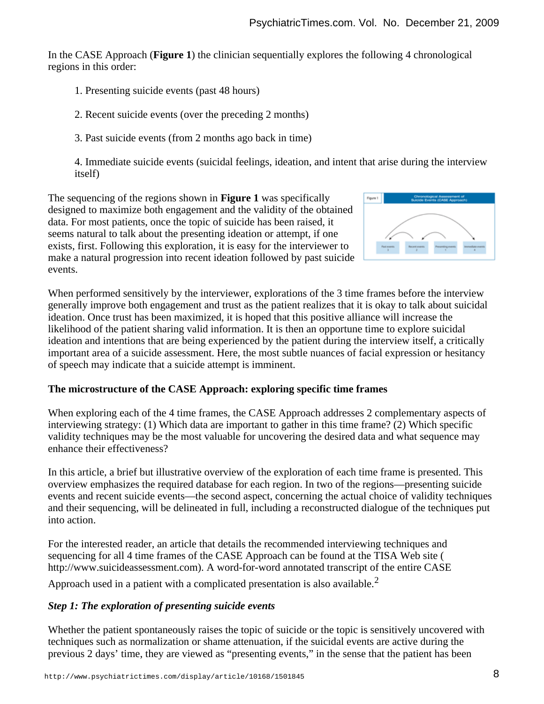In the CASE Approach (**Figure 1**) the clinician sequentially explores the following 4 chronological regions in this order:

1. Presenting suicide events (past 48 hours)

2. Recent suicide events (over the preceding 2 months)

3. Past suicide events (from 2 months ago back in time)

4. Immediate suicide events (suicidal feelings, ideation, and intent that arise during the interview itself)

The sequencing of the regions shown in **Figure 1** was specifically designed to maximize both engagement and the validity of the obtained data. For most patients, once the topic of suicide has been raised, it seems natural to talk about the presenting ideation or attempt, if one exists, first. Following this exploration, it is easy for the interviewer to make a natural progression into recent ideation followed by past suicide events.



When performed sensitively by the interviewer, explorations of the 3 time frames before the interview generally improve both engagement and trust as the patient realizes that it is okay to talk about suicidal ideation. Once trust has been maximized, it is hoped that this positive alliance will increase the likelihood of the patient sharing valid information. It is then an opportune time to explore suicidal ideation and intentions that are being experienced by the patient during the interview itself, a critically important area of a suicide assessment. Here, the most subtle nuances of facial expression or hesitancy of speech may indicate that a suicide attempt is imminent.

#### **The microstructure of the CASE Approach: exploring specific time frames**

When exploring each of the 4 time frames, the CASE Approach addresses 2 complementary aspects of interviewing strategy: (1) Which data are important to gather in this time frame? (2) Which specific validity techniques may be the most valuable for uncovering the desired data and what sequence may enhance their effectiveness?

In this article, a brief but illustrative overview of the exploration of each time frame is presented. This overview emphasizes the required database for each region. In two of the regions—presenting suicide events and recent suicide events—the second aspect, concerning the actual choice of validity techniques and their sequencing, will be delineated in full, including a reconstructed dialogue of the techniques put into action.

For the interested reader, an article that details the recommended interviewing techniques and sequencing for all 4 time frames of the CASE Approach can be found at the TISA Web site ( http://www.suicideassessment.com). A word-for-word annotated transcript of the entire CASE

Approach used in a patient with a complicated presentation is also available.<sup>2</sup>

#### *Step 1: The exploration of presenting suicide events*

Whether the patient spontaneously raises the topic of suicide or the topic is sensitively uncovered with techniques such as normalization or shame attenuation, if the suicidal events are active during the previous 2 days' time, they are viewed as "presenting events," in the sense that the patient has been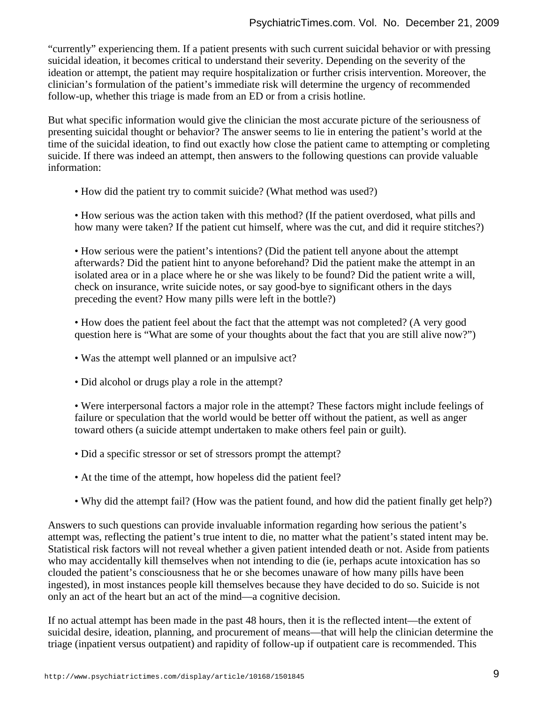"currently" experiencing them. If a patient presents with such current suicidal behavior or with pressing suicidal ideation, it becomes critical to understand their severity. Depending on the severity of the ideation or attempt, the patient may require hospitalization or further crisis intervention. Moreover, the clinician's formulation of the patient's immediate risk will determine the urgency of recommended follow-up, whether this triage is made from an ED or from a crisis hotline.

But what specific information would give the clinician the most accurate picture of the seriousness of presenting suicidal thought or behavior? The answer seems to lie in entering the patient's world at the time of the suicidal ideation, to find out exactly how close the patient came to attempting or completing suicide. If there was indeed an attempt, then answers to the following questions can provide valuable information:

• How did the patient try to commit suicide? (What method was used?)

• How serious was the action taken with this method? (If the patient overdosed, what pills and how many were taken? If the patient cut himself, where was the cut, and did it require stitches?)

• How serious were the patient's intentions? (Did the patient tell anyone about the attempt afterwards? Did the patient hint to anyone beforehand? Did the patient make the attempt in an isolated area or in a place where he or she was likely to be found? Did the patient write a will, check on insurance, write suicide notes, or say good-bye to significant others in the days preceding the event? How many pills were left in the bottle?)

• How does the patient feel about the fact that the attempt was not completed? (A very good question here is "What are some of your thoughts about the fact that you are still alive now?")

- Was the attempt well planned or an impulsive act?
- Did alcohol or drugs play a role in the attempt?

• Were interpersonal factors a major role in the attempt? These factors might include feelings of failure or speculation that the world would be better off without the patient, as well as anger toward others (a suicide attempt undertaken to make others feel pain or guilt).

- Did a specific stressor or set of stressors prompt the attempt?
- At the time of the attempt, how hopeless did the patient feel?
- Why did the attempt fail? (How was the patient found, and how did the patient finally get help?)

Answers to such questions can provide invaluable information regarding how serious the patient's attempt was, reflecting the patient's true intent to die, no matter what the patient's stated intent may be. Statistical risk factors will not reveal whether a given patient intended death or not. Aside from patients who may accidentally kill themselves when not intending to die (ie, perhaps acute intoxication has so clouded the patient's consciousness that he or she becomes unaware of how many pills have been ingested), in most instances people kill themselves because they have decided to do so. Suicide is not only an act of the heart but an act of the mind—a cognitive decision.

If no actual attempt has been made in the past 48 hours, then it is the reflected intent—the extent of suicidal desire, ideation, planning, and procurement of means—that will help the clinician determine the triage (inpatient versus outpatient) and rapidity of follow-up if outpatient care is recommended. This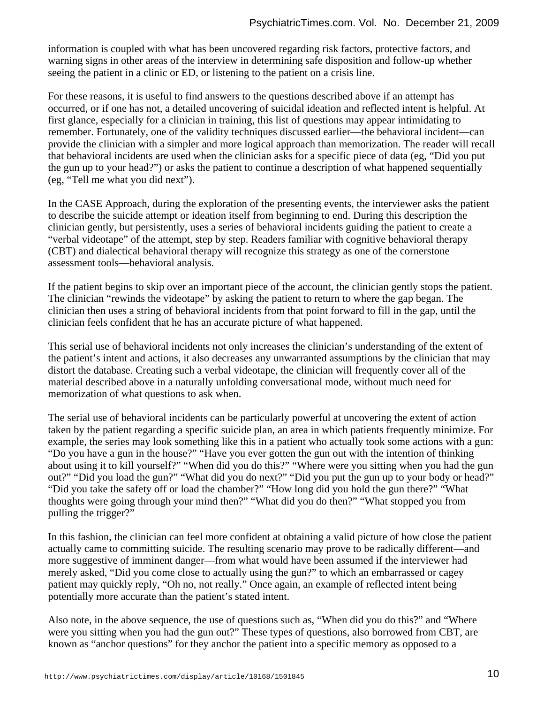information is coupled with what has been uncovered regarding risk factors, protective factors, and warning signs in other areas of the interview in determining safe disposition and follow-up whether seeing the patient in a clinic or ED, or listening to the patient on a crisis line.

For these reasons, it is useful to find answers to the questions described above if an attempt has occurred, or if one has not, a detailed uncovering of suicidal ideation and reflected intent is helpful. At first glance, especially for a clinician in training, this list of questions may appear intimidating to remember. Fortunately, one of the validity techniques discussed earlier—the behavioral incident—can provide the clinician with a simpler and more logical approach than memorization. The reader will recall that behavioral incidents are used when the clinician asks for a specific piece of data (eg, "Did you put the gun up to your head?") or asks the patient to continue a description of what happened sequentially (eg, "Tell me what you did next").

In the CASE Approach, during the exploration of the presenting events, the interviewer asks the patient to describe the suicide attempt or ideation itself from beginning to end. During this description the clinician gently, but persistently, uses a series of behavioral incidents guiding the patient to create a "verbal videotape" of the attempt, step by step. Readers familiar with cognitive behavioral therapy (CBT) and dialectical behavioral therapy will recognize this strategy as one of the cornerstone assessment tools—behavioral analysis.

If the patient begins to skip over an important piece of the account, the clinician gently stops the patient. The clinician "rewinds the videotape" by asking the patient to return to where the gap began. The clinician then uses a string of behavioral incidents from that point forward to fill in the gap, until the clinician feels confident that he has an accurate picture of what happened.

This serial use of behavioral incidents not only increases the clinician's understanding of the extent of the patient's intent and actions, it also decreases any unwarranted assumptions by the clinician that may distort the database. Creating such a verbal videotape, the clinician will frequently cover all of the material described above in a naturally unfolding conversational mode, without much need for memorization of what questions to ask when.

The serial use of behavioral incidents can be particularly powerful at uncovering the extent of action taken by the patient regarding a specific suicide plan, an area in which patients frequently minimize. For example, the series may look something like this in a patient who actually took some actions with a gun: "Do you have a gun in the house?" "Have you ever gotten the gun out with the intention of thinking about using it to kill yourself?" "When did you do this?" "Where were you sitting when you had the gun out?" "Did you load the gun?" "What did you do next?" "Did you put the gun up to your body or head?" "Did you take the safety off or load the chamber?" "How long did you hold the gun there?" "What thoughts were going through your mind then?" "What did you do then?" "What stopped you from pulling the trigger?"

In this fashion, the clinician can feel more confident at obtaining a valid picture of how close the patient actually came to committing suicide. The resulting scenario may prove to be radically different—and more suggestive of imminent danger—from what would have been assumed if the interviewer had merely asked, "Did you come close to actually using the gun?" to which an embarrassed or cagey patient may quickly reply, "Oh no, not really." Once again, an example of reflected intent being potentially more accurate than the patient's stated intent.

Also note, in the above sequence, the use of questions such as, "When did you do this?" and "Where were you sitting when you had the gun out?" These types of questions, also borrowed from CBT, are known as "anchor questions" for they anchor the patient into a specific memory as opposed to a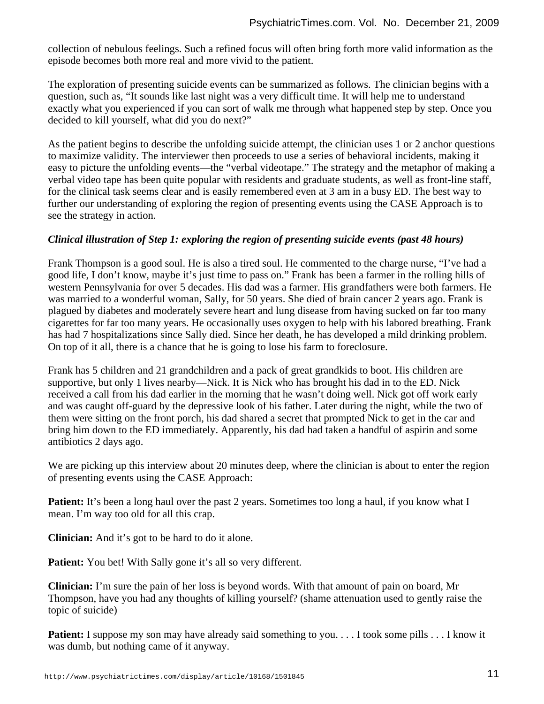collection of nebulous feelings. Such a refined focus will often bring forth more valid information as the episode becomes both more real and more vivid to the patient.

The exploration of presenting suicide events can be summarized as follows. The clinician begins with a question, such as, "It sounds like last night was a very difficult time. It will help me to understand exactly what you experienced if you can sort of walk me through what happened step by step. Once you decided to kill yourself, what did you do next?"

As the patient begins to describe the unfolding suicide attempt, the clinician uses 1 or 2 anchor questions to maximize validity. The interviewer then proceeds to use a series of behavioral incidents, making it easy to picture the unfolding events—the "verbal videotape." The strategy and the metaphor of making a verbal video tape has been quite popular with residents and graduate students, as well as front-line staff, for the clinical task seems clear and is easily remembered even at 3 am in a busy ED. The best way to further our understanding of exploring the region of presenting events using the CASE Approach is to see the strategy in action.

#### *Clinical illustration of Step 1: exploring the region of presenting suicide events (past 48 hours)*

Frank Thompson is a good soul. He is also a tired soul. He commented to the charge nurse, "I've had a good life, I don't know, maybe it's just time to pass on." Frank has been a farmer in the rolling hills of western Pennsylvania for over 5 decades. His dad was a farmer. His grandfathers were both farmers. He was married to a wonderful woman, Sally, for 50 years. She died of brain cancer 2 years ago. Frank is plagued by diabetes and moderately severe heart and lung disease from having sucked on far too many cigarettes for far too many years. He occasionally uses oxygen to help with his labored breathing. Frank has had 7 hospitalizations since Sally died. Since her death, he has developed a mild drinking problem. On top of it all, there is a chance that he is going to lose his farm to foreclosure.

Frank has 5 children and 21 grandchildren and a pack of great grandkids to boot. His children are supportive, but only 1 lives nearby—Nick. It is Nick who has brought his dad in to the ED. Nick received a call from his dad earlier in the morning that he wasn't doing well. Nick got off work early and was caught off-guard by the depressive look of his father. Later during the night, while the two of them were sitting on the front porch, his dad shared a secret that prompted Nick to get in the car and bring him down to the ED immediately. Apparently, his dad had taken a handful of aspirin and some antibiotics 2 days ago.

We are picking up this interview about 20 minutes deep, where the clinician is about to enter the region of presenting events using the CASE Approach:

Patient: It's been a long haul over the past 2 years. Sometimes too long a haul, if you know what I mean. I'm way too old for all this crap.

**Clinician:** And it's got to be hard to do it alone.

**Patient:** You bet! With Sally gone it's all so very different.

**Clinician:** I'm sure the pain of her loss is beyond words. With that amount of pain on board, Mr Thompson, have you had any thoughts of killing yourself? (shame attenuation used to gently raise the topic of suicide)

**Patient:** I suppose my son may have already said something to you. . . . I took some pills . . . I know it was dumb, but nothing came of it anyway.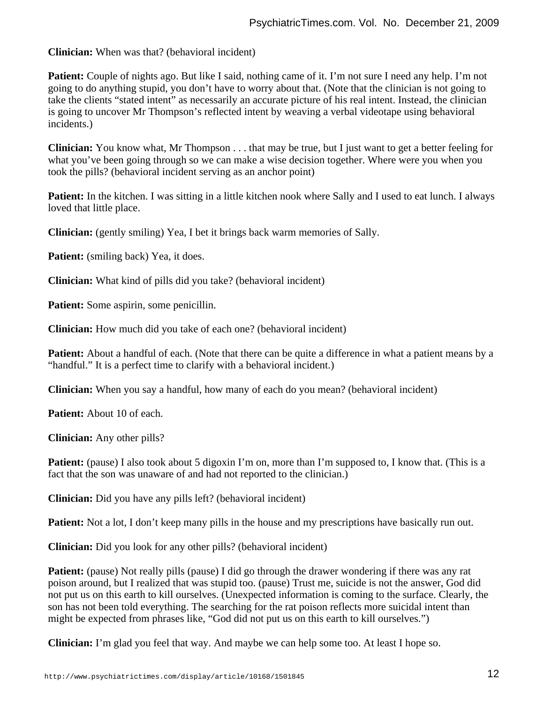#### **Clinician:** When was that? (behavioral incident)

**Patient:** Couple of nights ago. But like I said, nothing came of it. I'm not sure I need any help. I'm not going to do anything stupid, you don't have to worry about that. (Note that the clinician is not going to take the clients "stated intent" as necessarily an accurate picture of his real intent. Instead, the clinician is going to uncover Mr Thompson's reflected intent by weaving a verbal videotape using behavioral incidents.)

**Clinician:** You know what, Mr Thompson . . . that may be true, but I just want to get a better feeling for what you've been going through so we can make a wise decision together. Where were you when you took the pills? (behavioral incident serving as an anchor point)

**Patient:** In the kitchen. I was sitting in a little kitchen nook where Sally and I used to eat lunch. I always loved that little place.

**Clinician:** (gently smiling) Yea, I bet it brings back warm memories of Sally.

Patient: (smiling back) Yea, it does.

**Clinician:** What kind of pills did you take? (behavioral incident)

**Patient:** Some aspirin, some penicillin.

**Clinician:** How much did you take of each one? (behavioral incident)

**Patient:** About a handful of each. (Note that there can be quite a difference in what a patient means by a "handful." It is a perfect time to clarify with a behavioral incident.)

**Clinician:** When you say a handful, how many of each do you mean? (behavioral incident)

**Patient:** About 10 of each.

**Clinician:** Any other pills?

**Patient:** (pause) I also took about 5 digoxin I'm on, more than I'm supposed to, I know that. (This is a fact that the son was unaware of and had not reported to the clinician.)

**Clinician:** Did you have any pills left? (behavioral incident)

**Patient:** Not a lot, I don't keep many pills in the house and my prescriptions have basically run out.

**Clinician:** Did you look for any other pills? (behavioral incident)

**Patient:** (pause) Not really pills (pause) I did go through the drawer wondering if there was any rat poison around, but I realized that was stupid too. (pause) Trust me, suicide is not the answer, God did not put us on this earth to kill ourselves. (Unexpected information is coming to the surface. Clearly, the son has not been told everything. The searching for the rat poison reflects more suicidal intent than might be expected from phrases like, "God did not put us on this earth to kill ourselves.")

**Clinician:** I'm glad you feel that way. And maybe we can help some too. At least I hope so.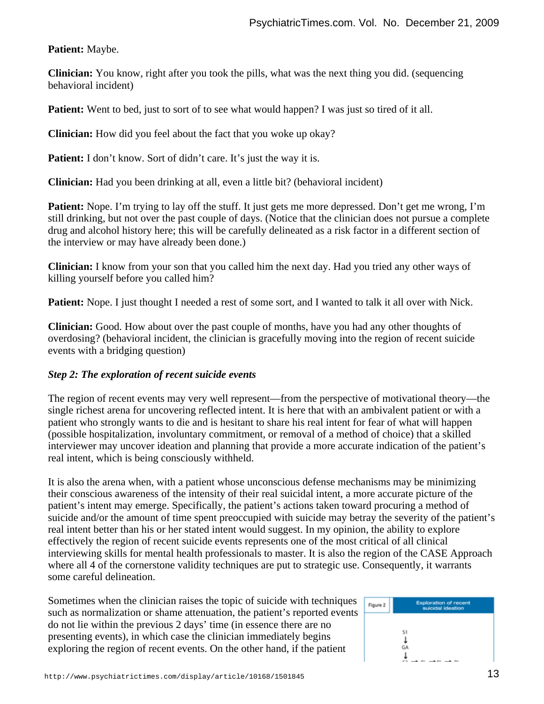#### **Patient:** Maybe.

**Clinician:** You know, right after you took the pills, what was the next thing you did. (sequencing behavioral incident)

**Patient:** Went to bed, just to sort of to see what would happen? I was just so tired of it all.

**Clinician:** How did you feel about the fact that you woke up okay?

**Patient:** I don't know. Sort of didn't care. It's just the way it is.

**Clinician:** Had you been drinking at all, even a little bit? (behavioral incident)

**Patient:** Nope. I'm trying to lay off the stuff. It just gets me more depressed. Don't get me wrong, I'm still drinking, but not over the past couple of days. (Notice that the clinician does not pursue a complete drug and alcohol history here; this will be carefully delineated as a risk factor in a different section of the interview or may have already been done.)

**Clinician:** I know from your son that you called him the next day. Had you tried any other ways of killing yourself before you called him?

Patient: Nope. I just thought I needed a rest of some sort, and I wanted to talk it all over with Nick.

**Clinician:** Good. How about over the past couple of months, have you had any other thoughts of overdosing? (behavioral incident, the clinician is gracefully moving into the region of recent suicide events with a bridging question)

#### *Step 2: The exploration of recent suicide events*

The region of recent events may very well represent—from the perspective of motivational theory—the single richest arena for uncovering reflected intent. It is here that with an ambivalent patient or with a patient who strongly wants to die and is hesitant to share his real intent for fear of what will happen (possible hospitalization, involuntary commitment, or removal of a method of choice) that a skilled interviewer may uncover ideation and planning that provide a more accurate indication of the patient's real intent, which is being consciously withheld.

It is also the arena when, with a patient whose unconscious defense mechanisms may be minimizing their conscious awareness of the intensity of their real suicidal intent, a more accurate picture of the patient's intent may emerge. Specifically, the patient's actions taken toward procuring a method of suicide and/or the amount of time spent preoccupied with suicide may betray the severity of the patient's real intent better than his or her stated intent would suggest. In my opinion, the ability to explore effectively the region of recent suicide events represents one of the most critical of all clinical interviewing skills for mental health professionals to master. It is also the region of the CASE Approach where all 4 of the cornerstone validity techniques are put to strategic use. Consequently, it warrants some careful delineation.

Sometimes when the clinician raises the topic of suicide with techniques such as normalization or shame attenuation, the patient's reported events do not lie within the previous 2 days' time (in essence there are no presenting events), in which case the clinician immediately begins exploring the region of recent events. On the other hand, if the patient

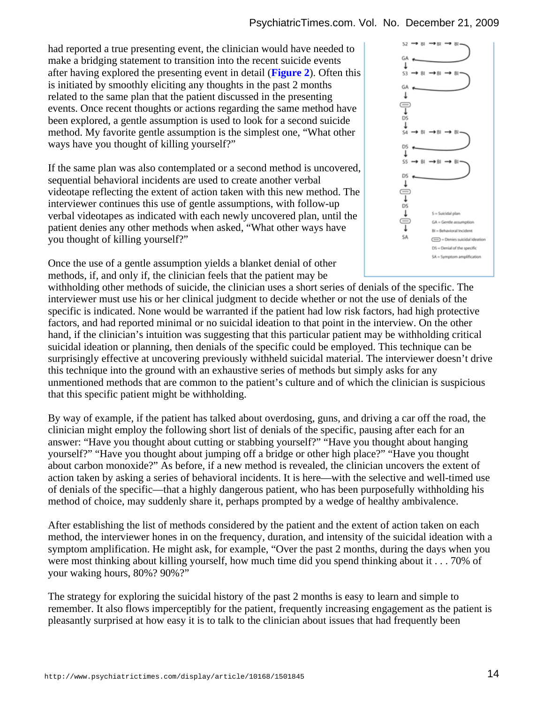had reported a true presenting event, the clinician would have needed to make a bridging statement to transition into the recent suicide events after having explored the presenting event in detail (**Figure 2**). Often this is initiated by smoothly eliciting any thoughts in the past 2 months related to the same plan that the patient discussed in the presenting events. Once recent thoughts or actions regarding the same method have been explored, a gentle assumption is used to look for a second suicide method. My favorite gentle assumption is the simplest one, "What other ways have you thought of killing yourself?"

If the same plan was also contemplated or a second method is uncovered, sequential behavioral incidents are used to create another verbal videotape reflecting the extent of action taken with this new method. The interviewer continues this use of gentle assumptions, with follow-up verbal videotapes as indicated with each newly uncovered plan, until the patient denies any other methods when asked, "What other ways have you thought of killing yourself?"

Once the use of a gentle assumption yields a blanket denial of other methods, if, and only if, the clinician feels that the patient may be



withholding other methods of suicide, the clinician uses a short series of denials of the specific. The interviewer must use his or her clinical judgment to decide whether or not the use of denials of the specific is indicated. None would be warranted if the patient had low risk factors, had high protective factors, and had reported minimal or no suicidal ideation to that point in the interview. On the other hand, if the clinician's intuition was suggesting that this particular patient may be withholding critical suicidal ideation or planning, then denials of the specific could be employed. This technique can be surprisingly effective at uncovering previously withheld suicidal material. The interviewer doesn't drive this technique into the ground with an exhaustive series of methods but simply asks for any unmentioned methods that are common to the patient's culture and of which the clinician is suspicious that this specific patient might be withholding.

By way of example, if the patient has talked about overdosing, guns, and driving a car off the road, the clinician might employ the following short list of denials of the specific, pausing after each for an answer: "Have you thought about cutting or stabbing yourself?" "Have you thought about hanging yourself?" "Have you thought about jumping off a bridge or other high place?" "Have you thought about carbon monoxide?" As before, if a new method is revealed, the clinician uncovers the extent of action taken by asking a series of behavioral incidents. It is here—with the selective and well-timed use of denials of the specific—that a highly dangerous patient, who has been purposefully withholding his method of choice, may suddenly share it, perhaps prompted by a wedge of healthy ambivalence.

After establishing the list of methods considered by the patient and the extent of action taken on each method, the interviewer hones in on the frequency, duration, and intensity of the suicidal ideation with a symptom amplification. He might ask, for example, "Over the past 2 months, during the days when you were most thinking about killing yourself, how much time did you spend thinking about it . . . 70% of your waking hours, 80%? 90%?"

The strategy for exploring the suicidal history of the past 2 months is easy to learn and simple to remember. It also flows imperceptibly for the patient, frequently increasing engagement as the patient is pleasantly surprised at how easy it is to talk to the clinician about issues that had frequently been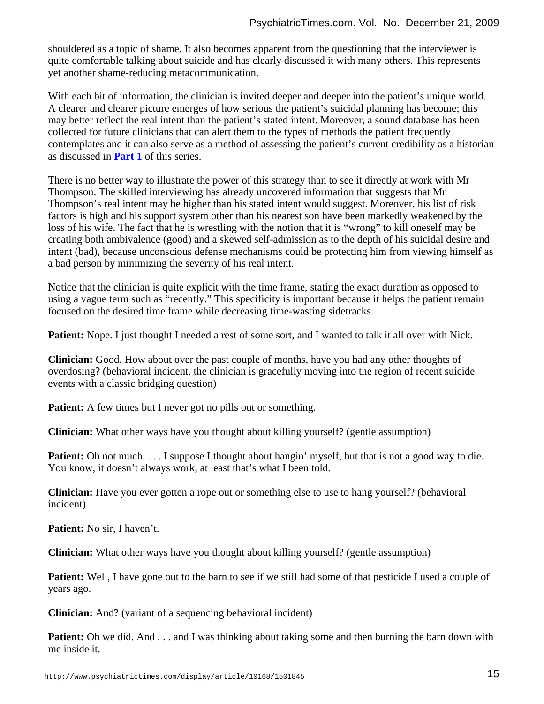shouldered as a topic of shame. It also becomes apparent from the questioning that the interviewer is quite comfortable talking about suicide and has clearly discussed it with many others. This represents yet another shame-reducing metacommunication.

With each bit of information, the clinician is invited deeper and deeper into the patient's unique world. A clearer and clearer picture emerges of how serious the patient's suicidal planning has become; this may better reflect the real intent than the patient's stated intent. Moreover, a sound database has been collected for future clinicians that can alert them to the types of methods the patient frequently contemplates and it can also serve as a method of assessing the patient's current credibility as a historian as discussed in **Part 1** of this series.

There is no better way to illustrate the power of this strategy than to see it directly at work with Mr Thompson. The skilled interviewing has already uncovered information that suggests that Mr Thompson's real intent may be higher than his stated intent would suggest. Moreover, his list of risk factors is high and his support system other than his nearest son have been markedly weakened by the loss of his wife. The fact that he is wrestling with the notion that it is "wrong" to kill oneself may be creating both ambivalence (good) and a skewed self-admission as to the depth of his suicidal desire and intent (bad), because unconscious defense mechanisms could be protecting him from viewing himself as a bad person by minimizing the severity of his real intent.

Notice that the clinician is quite explicit with the time frame, stating the exact duration as opposed to using a vague term such as "recently." This specificity is important because it helps the patient remain focused on the desired time frame while decreasing time-wasting sidetracks.

**Patient:** Nope. I just thought I needed a rest of some sort, and I wanted to talk it all over with Nick.

**Clinician:** Good. How about over the past couple of months, have you had any other thoughts of overdosing? (behavioral incident, the clinician is gracefully moving into the region of recent suicide events with a classic bridging question)

**Patient:** A few times but I never got no pills out or something.

**Clinician:** What other ways have you thought about killing yourself? (gentle assumption)

**Patient:** Oh not much. . . . I suppose I thought about hangin' myself, but that is not a good way to die. You know, it doesn't always work, at least that's what I been told.

**Clinician:** Have you ever gotten a rope out or something else to use to hang yourself? (behavioral incident)

**Patient:** No sir, I haven't.

**Clinician:** What other ways have you thought about killing yourself? (gentle assumption)

**Patient:** Well, I have gone out to the barn to see if we still had some of that pesticide I used a couple of years ago.

**Clinician:** And? (variant of a sequencing behavioral incident)

**Patient:** Oh we did. And . . . and I was thinking about taking some and then burning the barn down with me inside it.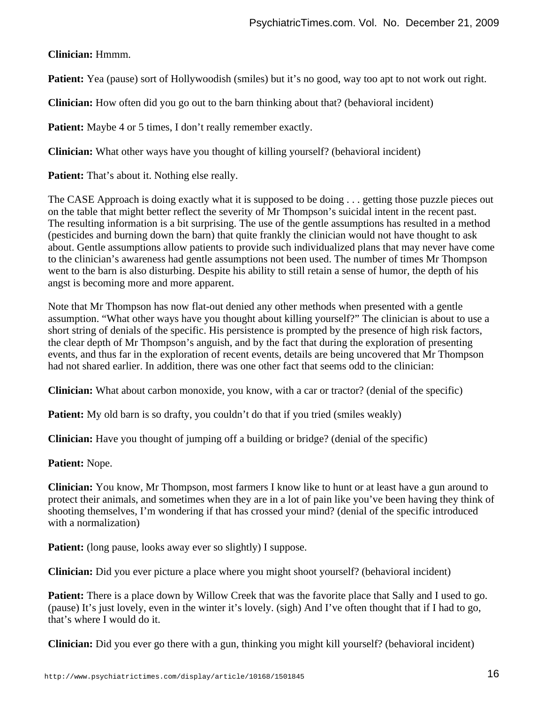**Clinician:** Hmmm.

**Patient:** Yea (pause) sort of Hollywoodish (smiles) but it's no good, way too apt to not work out right.

**Clinician:** How often did you go out to the barn thinking about that? (behavioral incident)

Patient: Maybe 4 or 5 times, I don't really remember exactly.

**Clinician:** What other ways have you thought of killing yourself? (behavioral incident)

Patient: That's about it. Nothing else really.

The CASE Approach is doing exactly what it is supposed to be doing . . . getting those puzzle pieces out on the table that might better reflect the severity of Mr Thompson's suicidal intent in the recent past. The resulting information is a bit surprising. The use of the gentle assumptions has resulted in a method (pesticides and burning down the barn) that quite frankly the clinician would not have thought to ask about. Gentle assumptions allow patients to provide such individualized plans that may never have come to the clinician's awareness had gentle assumptions not been used. The number of times Mr Thompson went to the barn is also disturbing. Despite his ability to still retain a sense of humor, the depth of his angst is becoming more and more apparent.

Note that Mr Thompson has now flat-out denied any other methods when presented with a gentle assumption. "What other ways have you thought about killing yourself?" The clinician is about to use a short string of denials of the specific. His persistence is prompted by the presence of high risk factors, the clear depth of Mr Thompson's anguish, and by the fact that during the exploration of presenting events, and thus far in the exploration of recent events, details are being uncovered that Mr Thompson had not shared earlier. In addition, there was one other fact that seems odd to the clinician:

**Clinician:** What about carbon monoxide, you know, with a car or tractor? (denial of the specific)

**Patient:** My old barn is so drafty, you couldn't do that if you tried (smiles weakly)

**Clinician:** Have you thought of jumping off a building or bridge? (denial of the specific)

**Patient:** Nope.

**Clinician:** You know, Mr Thompson, most farmers I know like to hunt or at least have a gun around to protect their animals, and sometimes when they are in a lot of pain like you've been having they think of shooting themselves, I'm wondering if that has crossed your mind? (denial of the specific introduced with a normalization)

**Patient:** (long pause, looks away ever so slightly) I suppose.

**Clinician:** Did you ever picture a place where you might shoot yourself? (behavioral incident)

**Patient:** There is a place down by Willow Creek that was the favorite place that Sally and I used to go. (pause) It's just lovely, even in the winter it's lovely. (sigh) And I've often thought that if I had to go, that's where I would do it.

**Clinician:** Did you ever go there with a gun, thinking you might kill yourself? (behavioral incident)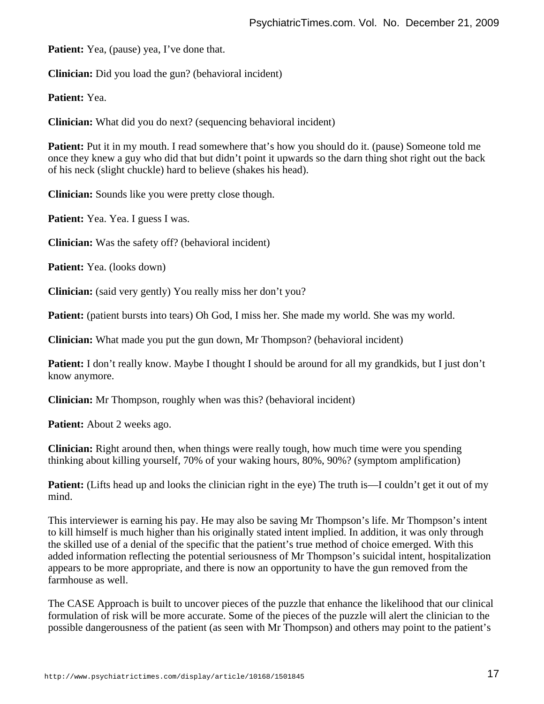**Patient:** Yea, (pause) yea, I've done that.

**Clinician:** Did you load the gun? (behavioral incident)

**Patient:** Yea.

**Clinician:** What did you do next? (sequencing behavioral incident)

**Patient:** Put it in my mouth. I read somewhere that's how you should do it. (pause) Someone told me once they knew a guy who did that but didn't point it upwards so the darn thing shot right out the back of his neck (slight chuckle) hard to believe (shakes his head).

**Clinician:** Sounds like you were pretty close though.

Patient: Yea. Yea. I guess I was.

**Clinician:** Was the safety off? (behavioral incident)

**Patient:** Yea. (looks down)

**Clinician:** (said very gently) You really miss her don't you?

**Patient:** (patient bursts into tears) Oh God, I miss her. She made my world. She was my world.

**Clinician:** What made you put the gun down, Mr Thompson? (behavioral incident)

**Patient:** I don't really know. Maybe I thought I should be around for all my grandkids, but I just don't know anymore.

**Clinician:** Mr Thompson, roughly when was this? (behavioral incident)

**Patient:** About 2 weeks ago.

**Clinician:** Right around then, when things were really tough, how much time were you spending thinking about killing yourself, 70% of your waking hours, 80%, 90%? (symptom amplification)

**Patient:** (Lifts head up and looks the clinician right in the eye) The truth is—I couldn't get it out of my mind.

This interviewer is earning his pay. He may also be saving Mr Thompson's life. Mr Thompson's intent to kill himself is much higher than his originally stated intent implied. In addition, it was only through the skilled use of a denial of the specific that the patient's true method of choice emerged. With this added information reflecting the potential seriousness of Mr Thompson's suicidal intent, hospitalization appears to be more appropriate, and there is now an opportunity to have the gun removed from the farmhouse as well.

The CASE Approach is built to uncover pieces of the puzzle that enhance the likelihood that our clinical formulation of risk will be more accurate. Some of the pieces of the puzzle will alert the clinician to the possible dangerousness of the patient (as seen with Mr Thompson) and others may point to the patient's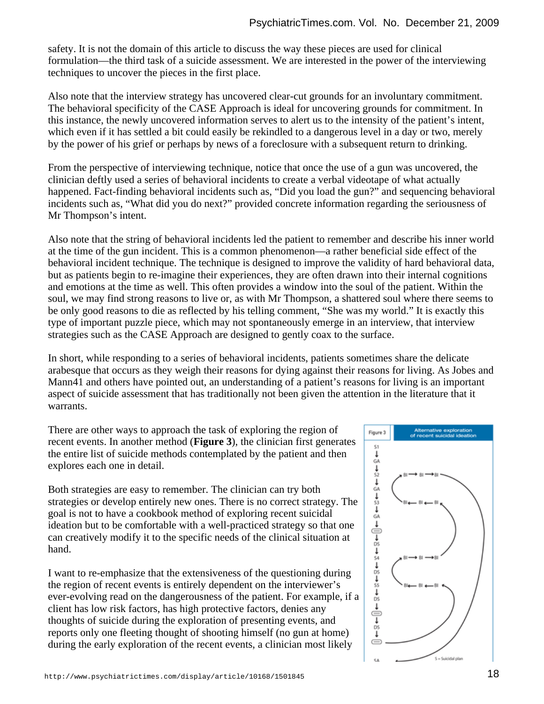safety. It is not the domain of this article to discuss the way these pieces are used for clinical formulation—the third task of a suicide assessment. We are interested in the power of the interviewing techniques to uncover the pieces in the first place.

Also note that the interview strategy has uncovered clear-cut grounds for an involuntary commitment. The behavioral specificity of the CASE Approach is ideal for uncovering grounds for commitment. In this instance, the newly uncovered information serves to alert us to the intensity of the patient's intent, which even if it has settled a bit could easily be rekindled to a dangerous level in a day or two, merely by the power of his grief or perhaps by news of a foreclosure with a subsequent return to drinking.

From the perspective of interviewing technique, notice that once the use of a gun was uncovered, the clinician deftly used a series of behavioral incidents to create a verbal videotape of what actually happened. Fact-finding behavioral incidents such as, "Did you load the gun?" and sequencing behavioral incidents such as, "What did you do next?" provided concrete information regarding the seriousness of Mr Thompson's intent.

Also note that the string of behavioral incidents led the patient to remember and describe his inner world at the time of the gun incident. This is a common phenomenon—a rather beneficial side effect of the behavioral incident technique. The technique is designed to improve the validity of hard behavioral data, but as patients begin to re-imagine their experiences, they are often drawn into their internal cognitions and emotions at the time as well. This often provides a window into the soul of the patient. Within the soul, we may find strong reasons to live or, as with Mr Thompson, a shattered soul where there seems to be only good reasons to die as reflected by his telling comment, "She was my world." It is exactly this type of important puzzle piece, which may not spontaneously emerge in an interview, that interview strategies such as the CASE Approach are designed to gently coax to the surface.

In short, while responding to a series of behavioral incidents, patients sometimes share the delicate arabesque that occurs as they weigh their reasons for dying against their reasons for living. As Jobes and Mann41 and others have pointed out, an understanding of a patient's reasons for living is an important aspect of suicide assessment that has traditionally not been given the attention in the literature that it warrants.

There are other ways to approach the task of exploring the region of recent events. In another method (**Figure 3**), the clinician first generates the entire list of suicide methods contemplated by the patient and then explores each one in detail.

Both strategies are easy to remember. The clinician can try both strategies or develop entirely new ones. There is no correct strategy. The goal is not to have a cookbook method of exploring recent suicidal ideation but to be comfortable with a well-practiced strategy so that one can creatively modify it to the specific needs of the clinical situation at hand.

I want to re-emphasize that the extensiveness of the questioning during the region of recent events is entirely dependent on the interviewer's ever-evolving read on the dangerousness of the patient. For example, if a client has low risk factors, has high protective factors, denies any thoughts of suicide during the exploration of presenting events, and reports only one fleeting thought of shooting himself (no gun at home) during the early exploration of the recent events, a clinician most likely

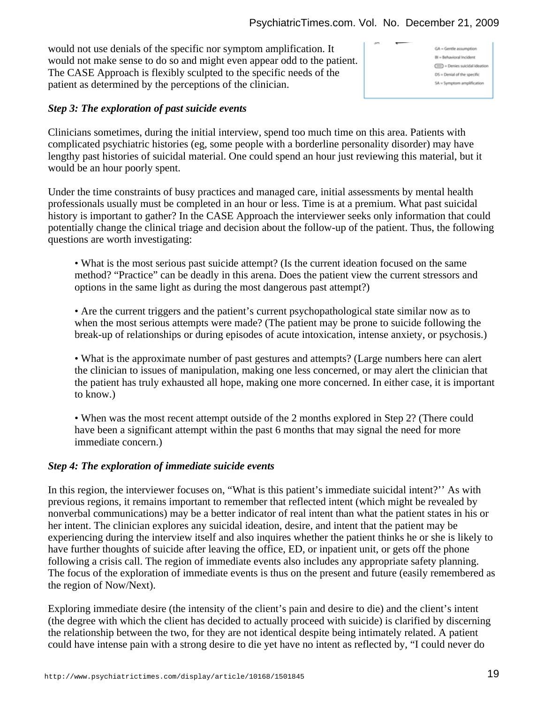would not use denials of the specific nor symptom amplification. It would not make sense to do so and might even appear odd to the patient. The CASE Approach is flexibly sculpted to the specific needs of the patient as determined by the perceptions of the clinician.

GA = Gentle assumption BI = Behavioral Incident <sup>=</sup> Denies suicidal ideation D5 = Denial of the specific SA = Symptom amplification

#### *Step 3: The exploration of past suicide events*

Clinicians sometimes, during the initial interview, spend too much time on this area. Patients with complicated psychiatric histories (eg, some people with a borderline personality disorder) may have lengthy past histories of suicidal material. One could spend an hour just reviewing this material, but it would be an hour poorly spent.

Under the time constraints of busy practices and managed care, initial assessments by mental health professionals usually must be completed in an hour or less. Time is at a premium. What past suicidal history is important to gather? In the CASE Approach the interviewer seeks only information that could potentially change the clinical triage and decision about the follow-up of the patient. Thus, the following questions are worth investigating:

• What is the most serious past suicide attempt? (Is the current ideation focused on the same method? "Practice" can be deadly in this arena. Does the patient view the current stressors and options in the same light as during the most dangerous past attempt?)

• Are the current triggers and the patient's current psychopathological state similar now as to when the most serious attempts were made? (The patient may be prone to suicide following the break-up of relationships or during episodes of acute intoxication, intense anxiety, or psychosis.)

• What is the approximate number of past gestures and attempts? (Large numbers here can alert the clinician to issues of manipulation, making one less concerned, or may alert the clinician that the patient has truly exhausted all hope, making one more concerned. In either case, it is important to know.)

• When was the most recent attempt outside of the 2 months explored in Step 2? (There could have been a significant attempt within the past 6 months that may signal the need for more immediate concern.)

#### *Step 4: The exploration of immediate suicide events*

In this region, the interviewer focuses on, "What is this patient's immediate suicidal intent?" As with previous regions, it remains important to remember that reflected intent (which might be revealed by nonverbal communications) may be a better indicator of real intent than what the patient states in his or her intent. The clinician explores any suicidal ideation, desire, and intent that the patient may be experiencing during the interview itself and also inquires whether the patient thinks he or she is likely to have further thoughts of suicide after leaving the office, ED, or inpatient unit, or gets off the phone following a crisis call. The region of immediate events also includes any appropriate safety planning. The focus of the exploration of immediate events is thus on the present and future (easily remembered as the region of Now/Next).

Exploring immediate desire (the intensity of the client's pain and desire to die) and the client's intent (the degree with which the client has decided to actually proceed with suicide) is clarified by discerning the relationship between the two, for they are not identical despite being intimately related. A patient could have intense pain with a strong desire to die yet have no intent as reflected by, "I could never do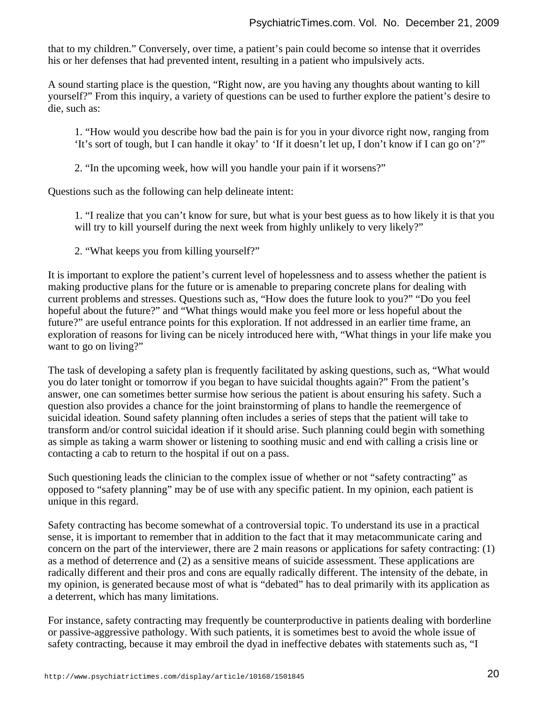that to my children." Conversely, over time, a patient's pain could become so intense that it overrides his or her defenses that had prevented intent, resulting in a patient who impulsively acts.

A sound starting place is the question, "Right now, are you having any thoughts about wanting to kill yourself?" From this inquiry, a variety of questions can be used to further explore the patient's desire to die, such as:

1. "How would you describe how bad the pain is for you in your divorce right now, ranging from 'It's sort of tough, but I can handle it okay' to 'If it doesn't let up, I don't know if I can go on'?"

2. "In the upcoming week, how will you handle your pain if it worsens?"

Questions such as the following can help delineate intent:

1. "I realize that you can't know for sure, but what is your best guess as to how likely it is that you will try to kill yourself during the next week from highly unlikely to very likely?"

2. "What keeps you from killing yourself?"

It is important to explore the patient's current level of hopelessness and to assess whether the patient is making productive plans for the future or is amenable to preparing concrete plans for dealing with current problems and stresses. Questions such as, "How does the future look to you?" "Do you feel hopeful about the future?" and "What things would make you feel more or less hopeful about the future?" are useful entrance points for this exploration. If not addressed in an earlier time frame, an exploration of reasons for living can be nicely introduced here with, "What things in your life make you want to go on living?"

The task of developing a safety plan is frequently facilitated by asking questions, such as, "What would you do later tonight or tomorrow if you began to have suicidal thoughts again?" From the patient's answer, one can sometimes better surmise how serious the patient is about ensuring his safety. Such a question also provides a chance for the joint brainstorming of plans to handle the reemergence of suicidal ideation. Sound safety planning often includes a series of steps that the patient will take to transform and/or control suicidal ideation if it should arise. Such planning could begin with something as simple as taking a warm shower or listening to soothing music and end with calling a crisis line or contacting a cab to return to the hospital if out on a pass.

Such questioning leads the clinician to the complex issue of whether or not "safety contracting" as opposed to "safety planning" may be of use with any specific patient. In my opinion, each patient is unique in this regard.

Safety contracting has become somewhat of a controversial topic. To understand its use in a practical sense, it is important to remember that in addition to the fact that it may metacommunicate caring and concern on the part of the interviewer, there are 2 main reasons or applications for safety contracting: (1) as a method of deterrence and (2) as a sensitive means of suicide assessment. These applications are radically different and their pros and cons are equally radically different. The intensity of the debate, in my opinion, is generated because most of what is "debated" has to deal primarily with its application as a deterrent, which has many limitations.

For instance, safety contracting may frequently be counterproductive in patients dealing with borderline or passive-aggressive pathology. With such patients, it is sometimes best to avoid the whole issue of safety contracting, because it may embroil the dyad in ineffective debates with statements such as, "I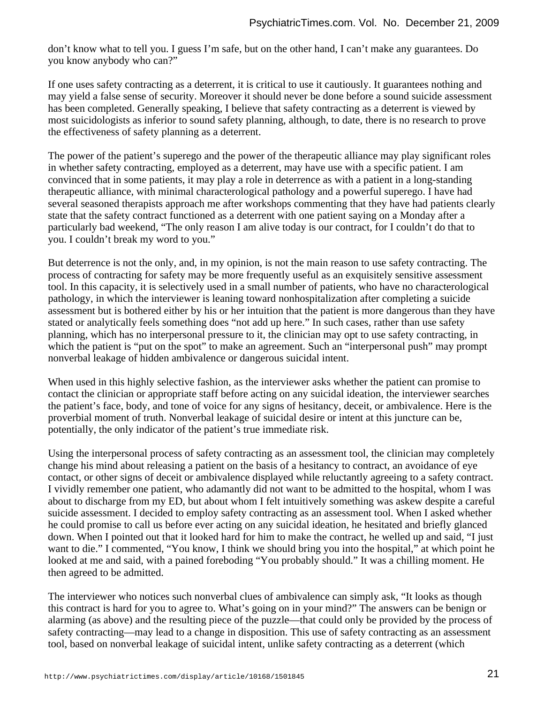don't know what to tell you. I guess I'm safe, but on the other hand, I can't make any guarantees. Do you know anybody who can?"

If one uses safety contracting as a deterrent, it is critical to use it cautiously. It guarantees nothing and may yield a false sense of security. Moreover it should never be done before a sound suicide assessment has been completed. Generally speaking, I believe that safety contracting as a deterrent is viewed by most suicidologists as inferior to sound safety planning, although, to date, there is no research to prove the effectiveness of safety planning as a deterrent.

The power of the patient's superego and the power of the therapeutic alliance may play significant roles in whether safety contracting, employed as a deterrent, may have use with a specific patient. I am convinced that in some patients, it may play a role in deterrence as with a patient in a long-standing therapeutic alliance, with minimal characterological pathology and a powerful superego. I have had several seasoned therapists approach me after workshops commenting that they have had patients clearly state that the safety contract functioned as a deterrent with one patient saying on a Monday after a particularly bad weekend, "The only reason I am alive today is our contract, for I couldn't do that to you. I couldn't break my word to you."

But deterrence is not the only, and, in my opinion, is not the main reason to use safety contracting. The process of contracting for safety may be more frequently useful as an exquisitely sensitive assessment tool. In this capacity, it is selectively used in a small number of patients, who have no characterological pathology, in which the interviewer is leaning toward nonhospitalization after completing a suicide assessment but is bothered either by his or her intuition that the patient is more dangerous than they have stated or analytically feels something does "not add up here." In such cases, rather than use safety planning, which has no interpersonal pressure to it, the clinician may opt to use safety contracting, in which the patient is "put on the spot" to make an agreement. Such an "interpersonal push" may prompt nonverbal leakage of hidden ambivalence or dangerous suicidal intent.

When used in this highly selective fashion, as the interviewer asks whether the patient can promise to contact the clinician or appropriate staff before acting on any suicidal ideation, the interviewer searches the patient's face, body, and tone of voice for any signs of hesitancy, deceit, or ambivalence. Here is the proverbial moment of truth. Nonverbal leakage of suicidal desire or intent at this juncture can be, potentially, the only indicator of the patient's true immediate risk.

Using the interpersonal process of safety contracting as an assessment tool, the clinician may completely change his mind about releasing a patient on the basis of a hesitancy to contract, an avoidance of eye contact, or other signs of deceit or ambivalence displayed while reluctantly agreeing to a safety contract. I vividly remember one patient, who adamantly did not want to be admitted to the hospital, whom I was about to discharge from my ED, but about whom I felt intuitively something was askew despite a careful suicide assessment. I decided to employ safety contracting as an assessment tool. When I asked whether he could promise to call us before ever acting on any suicidal ideation, he hesitated and briefly glanced down. When I pointed out that it looked hard for him to make the contract, he welled up and said, "I just want to die." I commented, "You know, I think we should bring you into the hospital," at which point he looked at me and said, with a pained foreboding "You probably should." It was a chilling moment. He then agreed to be admitted.

The interviewer who notices such nonverbal clues of ambivalence can simply ask, "It looks as though this contract is hard for you to agree to. What's going on in your mind?" The answers can be benign or alarming (as above) and the resulting piece of the puzzle—that could only be provided by the process of safety contracting—may lead to a change in disposition. This use of safety contracting as an assessment tool, based on nonverbal leakage of suicidal intent, unlike safety contracting as a deterrent (which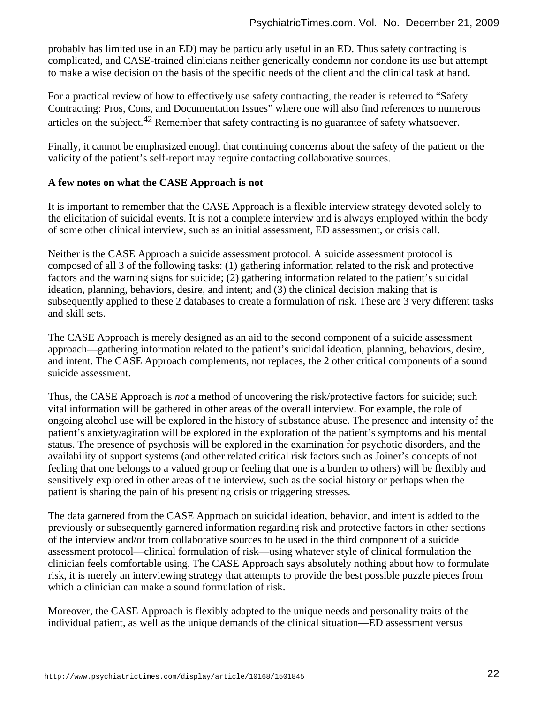probably has limited use in an ED) may be particularly useful in an ED. Thus safety contracting is complicated, and CASE-trained clinicians neither generically condemn nor condone its use but attempt to make a wise decision on the basis of the specific needs of the client and the clinical task at hand.

For a practical review of how to effectively use safety contracting, the reader is referred to "Safety Contracting: Pros, Cons, and Documentation Issues" where one will also find references to numerous articles on the subject.<sup>42</sup> Remember that safety contracting is no guarantee of safety whatsoever.

Finally, it cannot be emphasized enough that continuing concerns about the safety of the patient or the validity of the patient's self-report may require contacting collaborative sources.

#### **A few notes on what the CASE Approach is not**

It is important to remember that the CASE Approach is a flexible interview strategy devoted solely to the elicitation of suicidal events. It is not a complete interview and is always employed within the body of some other clinical interview, such as an initial assessment, ED assessment, or crisis call.

Neither is the CASE Approach a suicide assessment protocol. A suicide assessment protocol is composed of all 3 of the following tasks: (1) gathering information related to the risk and protective factors and the warning signs for suicide; (2) gathering information related to the patient's suicidal ideation, planning, behaviors, desire, and intent; and (3) the clinical decision making that is subsequently applied to these 2 databases to create a formulation of risk. These are 3 very different tasks and skill sets.

The CASE Approach is merely designed as an aid to the second component of a suicide assessment approach—gathering information related to the patient's suicidal ideation, planning, behaviors, desire, and intent. The CASE Approach complements, not replaces, the 2 other critical components of a sound suicide assessment.

Thus, the CASE Approach is *not* a method of uncovering the risk/protective factors for suicide; such vital information will be gathered in other areas of the overall interview. For example, the role of ongoing alcohol use will be explored in the history of substance abuse. The presence and intensity of the patient's anxiety/agitation will be explored in the exploration of the patient's symptoms and his mental status. The presence of psychosis will be explored in the examination for psychotic disorders, and the availability of support systems (and other related critical risk factors such as Joiner's concepts of not feeling that one belongs to a valued group or feeling that one is a burden to others) will be flexibly and sensitively explored in other areas of the interview, such as the social history or perhaps when the patient is sharing the pain of his presenting crisis or triggering stresses.

The data garnered from the CASE Approach on suicidal ideation, behavior, and intent is added to the previously or subsequently garnered information regarding risk and protective factors in other sections of the interview and/or from collaborative sources to be used in the third component of a suicide assessment protocol—clinical formulation of risk—using whatever style of clinical formulation the clinician feels comfortable using. The CASE Approach says absolutely nothing about how to formulate risk, it is merely an interviewing strategy that attempts to provide the best possible puzzle pieces from which a clinician can make a sound formulation of risk.

Moreover, the CASE Approach is flexibly adapted to the unique needs and personality traits of the individual patient, as well as the unique demands of the clinical situation—ED assessment versus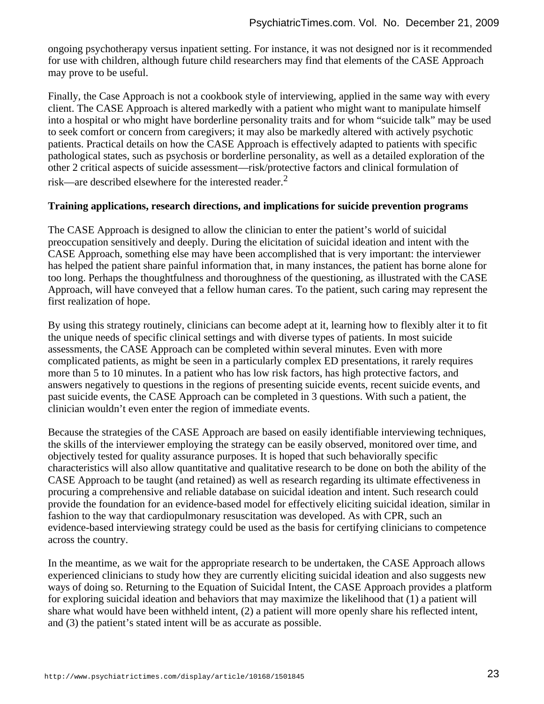ongoing psychotherapy versus inpatient setting. For instance, it was not designed nor is it recommended for use with children, although future child researchers may find that elements of the CASE Approach may prove to be useful.

Finally, the Case Approach is not a cookbook style of interviewing, applied in the same way with every client. The CASE Approach is altered markedly with a patient who might want to manipulate himself into a hospital or who might have borderline personality traits and for whom "suicide talk" may be used to seek comfort or concern from caregivers; it may also be markedly altered with actively psychotic patients. Practical details on how the CASE Approach is effectively adapted to patients with specific pathological states, such as psychosis or borderline personality, as well as a detailed exploration of the other 2 critical aspects of suicide assessment—risk/protective factors and clinical formulation of risk—are described elsewhere for the interested reader. $<sup>2</sup>$ </sup>

#### **Training applications, research directions, and implications for suicide prevention programs**

The CASE Approach is designed to allow the clinician to enter the patient's world of suicidal preoccupation sensitively and deeply. During the elicitation of suicidal ideation and intent with the CASE Approach, something else may have been accomplished that is very important: the interviewer has helped the patient share painful information that, in many instances, the patient has borne alone for too long. Perhaps the thoughtfulness and thoroughness of the questioning, as illustrated with the CASE Approach, will have conveyed that a fellow human cares. To the patient, such caring may represent the first realization of hope.

By using this strategy routinely, clinicians can become adept at it, learning how to flexibly alter it to fit the unique needs of specific clinical settings and with diverse types of patients. In most suicide assessments, the CASE Approach can be completed within several minutes. Even with more complicated patients, as might be seen in a particularly complex ED presentations, it rarely requires more than 5 to 10 minutes. In a patient who has low risk factors, has high protective factors, and answers negatively to questions in the regions of presenting suicide events, recent suicide events, and past suicide events, the CASE Approach can be completed in 3 questions. With such a patient, the clinician wouldn't even enter the region of immediate events.

Because the strategies of the CASE Approach are based on easily identifiable interviewing techniques, the skills of the interviewer employing the strategy can be easily observed, monitored over time, and objectively tested for quality assurance purposes. It is hoped that such behaviorally specific characteristics will also allow quantitative and qualitative research to be done on both the ability of the CASE Approach to be taught (and retained) as well as research regarding its ultimate effectiveness in procuring a comprehensive and reliable database on suicidal ideation and intent. Such research could provide the foundation for an evidence-based model for effectively eliciting suicidal ideation, similar in fashion to the way that cardiopulmonary resuscitation was developed. As with CPR, such an evidence-based interviewing strategy could be used as the basis for certifying clinicians to competence across the country.

In the meantime, as we wait for the appropriate research to be undertaken, the CASE Approach allows experienced clinicians to study how they are currently eliciting suicidal ideation and also suggests new ways of doing so. Returning to the Equation of Suicidal Intent, the CASE Approach provides a platform for exploring suicidal ideation and behaviors that may maximize the likelihood that (1) a patient will share what would have been withheld intent, (2) a patient will more openly share his reflected intent, and (3) the patient's stated intent will be as accurate as possible.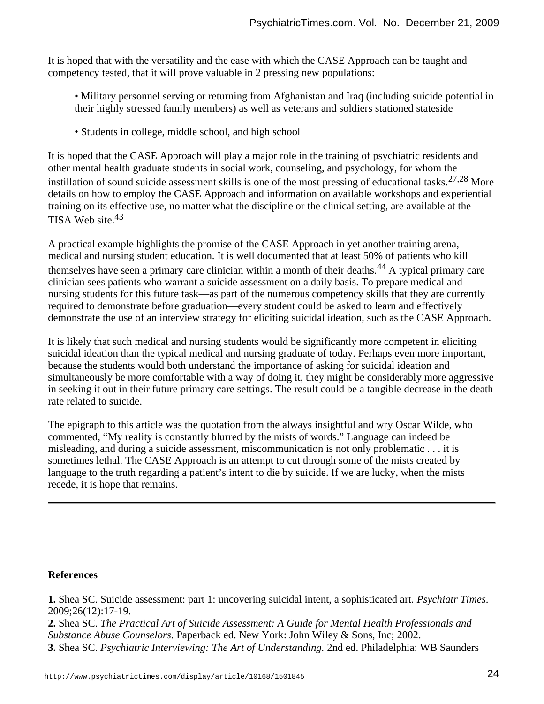It is hoped that with the versatility and the ease with which the CASE Approach can be taught and competency tested, that it will prove valuable in 2 pressing new populations:

- Military personnel serving or returning from Afghanistan and Iraq (including suicide potential in their highly stressed family members) as well as veterans and soldiers stationed stateside
- Students in college, middle school, and high school

It is hoped that the CASE Approach will play a major role in the training of psychiatric residents and other mental health graduate students in social work, counseling, and psychology, for whom the instillation of sound suicide assessment skills is one of the most pressing of educational tasks.  $27,28$  More details on how to employ the CASE Approach and information on available workshops and experiential training on its effective use, no matter what the discipline or the clinical setting, are available at the TISA Web site.<sup>43</sup>

A practical example highlights the promise of the CASE Approach in yet another training arena, medical and nursing student education. It is well documented that at least 50% of patients who kill themselves have seen a primary care clinician within a month of their deaths.<sup>44</sup> A typical primary care clinician sees patients who warrant a suicide assessment on a daily basis. To prepare medical and nursing students for this future task—as part of the numerous competency skills that they are currently required to demonstrate before graduation—every student could be asked to learn and effectively demonstrate the use of an interview strategy for eliciting suicidal ideation, such as the CASE Approach.

It is likely that such medical and nursing students would be significantly more competent in eliciting suicidal ideation than the typical medical and nursing graduate of today. Perhaps even more important, because the students would both understand the importance of asking for suicidal ideation and simultaneously be more comfortable with a way of doing it, they might be considerably more aggressive in seeking it out in their future primary care settings. The result could be a tangible decrease in the death rate related to suicide.

The epigraph to this article was the quotation from the always insightful and wry Oscar Wilde, who commented, "My reality is constantly blurred by the mists of words." Language can indeed be misleading, and during a suicide assessment, miscommunication is not only problematic . . . it is sometimes lethal. The CASE Approach is an attempt to cut through some of the mists created by language to the truth regarding a patient's intent to die by suicide. If we are lucky, when the mists recede, it is hope that remains.

#### **References**

**1.** Shea SC. Suicide assessment: part 1: uncovering suicidal intent, a sophisticated art. *Psychiatr Times*. 2009;26(12):17-19.

**2.** Shea SC. *The Practical Art of Suicide Assessment: A Guide for Mental Health Professionals and Substance Abuse Counselors*. Paperback ed. New York: John Wiley & Sons, Inc; 2002. **3.** Shea SC. *Psychiatric Interviewing: The Art of Understanding.* 2nd ed. Philadelphia: WB Saunders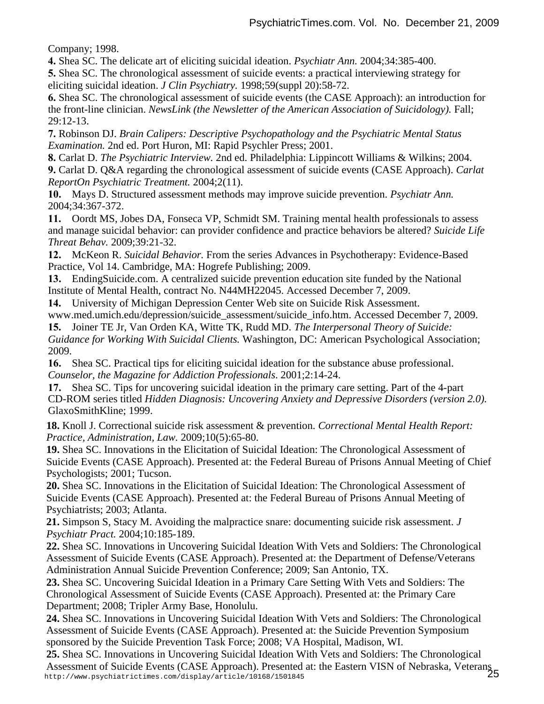Company; 1998.

**4.** Shea SC. The delicate art of eliciting suicidal ideation. *Psychiatr Ann.* 2004;34:385-400.

**5.** Shea SC. The chronological assessment of suicide events: a practical interviewing strategy for eliciting suicidal ideation. *J Clin Psychiatry.* 1998;59(suppl 20):58-72.

**6.** Shea SC. The chronological assessment of suicide events (the CASE Approach): an introduction for the front-line clinician. *NewsLink (the Newsletter of the American Association of Suicidology).* Fall; 29:12-13.

**7.** Robinson DJ. *Brain Calipers: Descriptive Psychopathology and the Psychiatric Mental Status Examination.* 2nd ed. Port Huron, MI: Rapid Psychler Press; 2001.

**8.** Carlat D. *The Psychiatric Interview.* 2nd ed. Philadelphia: Lippincott Williams & Wilkins; 2004.

**9.** Carlat D. Q&A regarding the chronological assessment of suicide events (CASE Approach). *Carlat ReportOn Psychiatric Treatment.* 2004;2(11).

**10.** Mays D. Structured assessment methods may improve suicide prevention. *Psychiatr Ann.* 2004;34:367-372.

**11.** Oordt MS, Jobes DA, Fonseca VP, Schmidt SM. Training mental health professionals to assess and manage suicidal behavior: can provider confidence and practice behaviors be altered? *Suicide Life Threat Behav.* 2009;39:21-32.

**12.** McKeon R. *Suicidal Behavior.* From the series Advances in Psychotherapy: Evidence-Based Practice, Vol 14. Cambridge, MA: Hogrefe Publishing; 2009.

**13.** EndingSuicide.com. A centralized suicide prevention education site funded by the National Institute of Mental Health, contract No. N44MH22045. Accessed December 7, 2009.

**14.** University of Michigan Depression Center Web site on Suicide Risk Assessment.

www.med.umich.edu/depression/suicide\_assessment/suicide\_info.htm. Accessed December 7, 2009.

**15.** Joiner TE Jr, Van Orden KA, Witte TK, Rudd MD. *The Interpersonal Theory of Suicide: Guidance for Working With Suicidal Clients.* Washington, DC: American Psychological Association; 2009.

**16.** Shea SC. Practical tips for eliciting suicidal ideation for the substance abuse professional. *Counselor, the Magazine for Addiction Professionals*. 2001;2:14-24.

**17.** Shea SC. Tips for uncovering suicidal ideation in the primary care setting. Part of the 4-part CD-ROM series titled *Hidden Diagnosis: Uncovering Anxiety and Depressive Disorders (version 2.0).* GlaxoSmithKline; 1999.

**18.** Knoll J. Correctional suicide risk assessment & prevention. *Correctional Mental Health Report: Practice, Administration, Law.* 2009;10(5):65-80.

**19.** Shea SC. Innovations in the Elicitation of Suicidal Ideation: The Chronological Assessment of Suicide Events (CASE Approach). Presented at: the Federal Bureau of Prisons Annual Meeting of Chief Psychologists; 2001; Tucson.

**20.** Shea SC. Innovations in the Elicitation of Suicidal Ideation: The Chronological Assessment of Suicide Events (CASE Approach). Presented at: the Federal Bureau of Prisons Annual Meeting of Psychiatrists; 2003; Atlanta.

**21.** Simpson S, Stacy M. Avoiding the malpractice snare: documenting suicide risk assessment. *J Psychiatr Pract.* 2004;10:185-189.

**22.** Shea SC. Innovations in Uncovering Suicidal Ideation With Vets and Soldiers: The Chronological Assessment of Suicide Events (CASE Approach). Presented at: the Department of Defense/Veterans Administration Annual Suicide Prevention Conference; 2009; San Antonio, TX.

**23.** Shea SC. Uncovering Suicidal Ideation in a Primary Care Setting With Vets and Soldiers: The Chronological Assessment of Suicide Events (CASE Approach). Presented at: the Primary Care Department; 2008; Tripler Army Base, Honolulu.

**24.** Shea SC. Innovations in Uncovering Suicidal Ideation With Vets and Soldiers: The Chronological Assessment of Suicide Events (CASE Approach). Presented at: the Suicide Prevention Symposium sponsored by the Suicide Prevention Task Force; 2008; VA Hospital, Madison, WI.

**25.** Shea SC. Innovations in Uncovering Suicidal Ideation With Vets and Soldiers: The Chronological Assessment of Suicide Events (CASE Approach). Presented at: the Eastern VISN of Nebraska, Veterans http://www.psychiatrictimes.com/display/article/10168/1501845 25